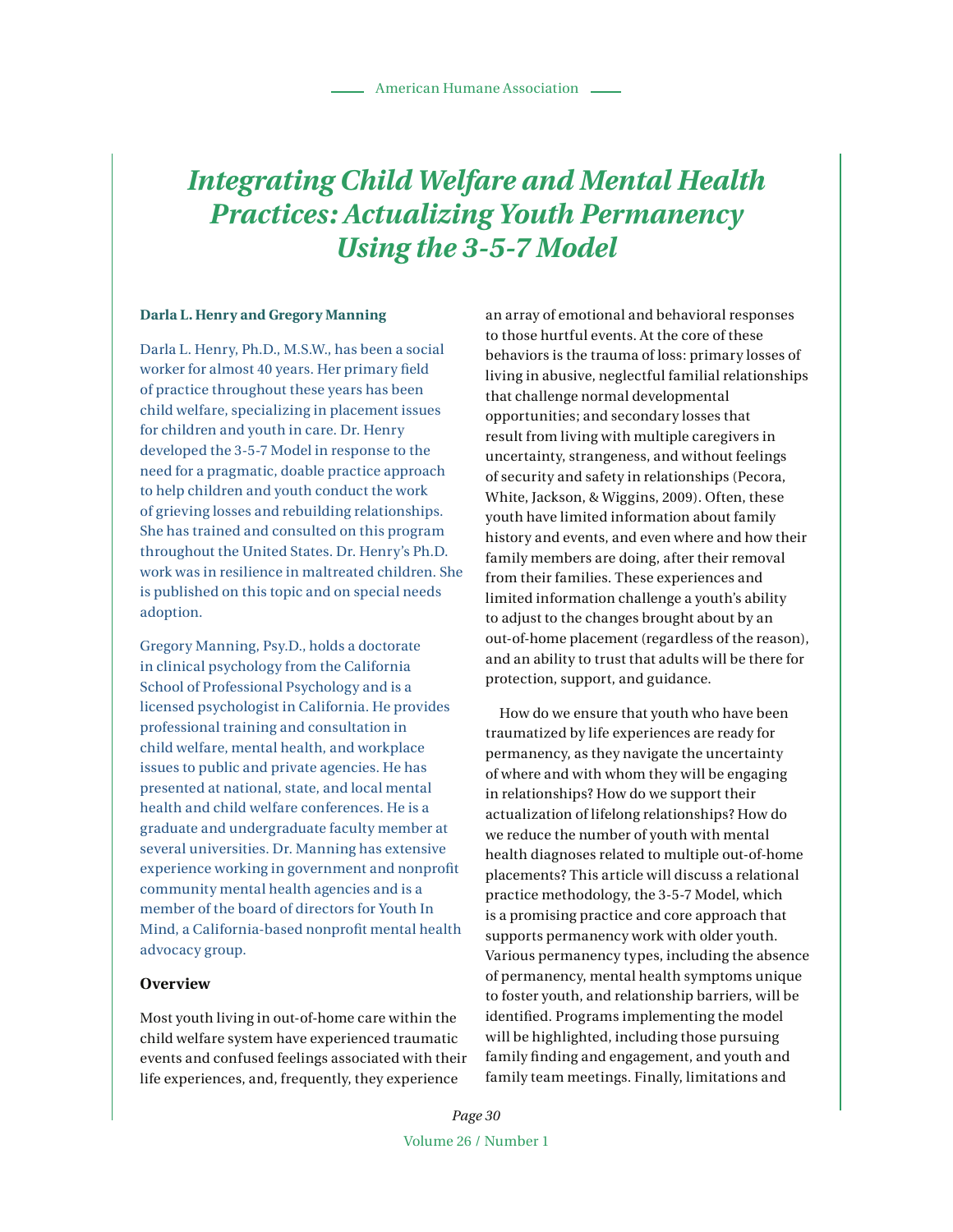# *Integrating Child Welfare and Mental Health Practices: Actualizing Youth Permanency Using the 3-5-7 Model*

#### **Darla L. Henry and Gregory Manning**

Darla L. Henry, Ph.D., M.S.W., has been a social worker for almost 40 years. Her primary field of practice throughout these years has been child welfare, specializing in placement issues for children and youth in care. Dr. Henry developed the 3-5-7 Model in response to the need for a pragmatic, doable practice approach to help children and youth conduct the work of grieving losses and rebuilding relationships. She has trained and consulted on this program throughout the United States. Dr. Henry's Ph.D. work was in resilience in maltreated children. She is published on this topic and on special needs adoption.

Gregory Manning, Psy.D., holds a doctorate in clinical psychology from the California School of Professional Psychology and is a licensed psychologist in California. He provides professional training and consultation in child welfare, mental health, and workplace issues to public and private agencies. He has presented at national, state, and local mental health and child welfare conferences. He is a graduate and undergraduate faculty member at several universities. Dr. Manning has extensive experience working in government and nonprofit community mental health agencies and is a member of the board of directors for Youth In Mind, a California-based nonprofit mental health advocacy group.

# **Overview**

Most youth living in out-of-home care within the child welfare system have experienced traumatic events and confused feelings associated with their life experiences, and, frequently, they experience

an array of emotional and behavioral responses to those hurtful events. At the core of these behaviors is the trauma of loss: primary losses of living in abusive, neglectful familial relationships that challenge normal developmental opportunities; and secondary losses that result from living with multiple caregivers in uncertainty, strangeness, and without feelings of security and safety in relationships (Pecora, White, Jackson, & Wiggins, 2009). Often, these youth have limited information about family history and events, and even where and how their family members are doing, after their removal from their families. These experiences and limited information challenge a youth's ability to adjust to the changes brought about by an out-of-home placement (regardless of the reason), and an ability to trust that adults will be there for protection, support, and guidance.

How do we ensure that youth who have been traumatized by life experiences are ready for permanency, as they navigate the uncertainty of where and with whom they will be engaging in relationships? How do we support their actualization of lifelong relationships? How do we reduce the number of youth with mental health diagnoses related to multiple out-of-home placements? This article will discuss a relational practice methodology, the 3-5-7 Model, which is a promising practice and core approach that supports permanency work with older youth. Various permanency types, including the absence of permanency, mental health symptoms unique to foster youth, and relationship barriers, will be identified. Programs implementing the model will be highlighted, including those pursuing family finding and engagement, and youth and family team meetings. Finally, limitations and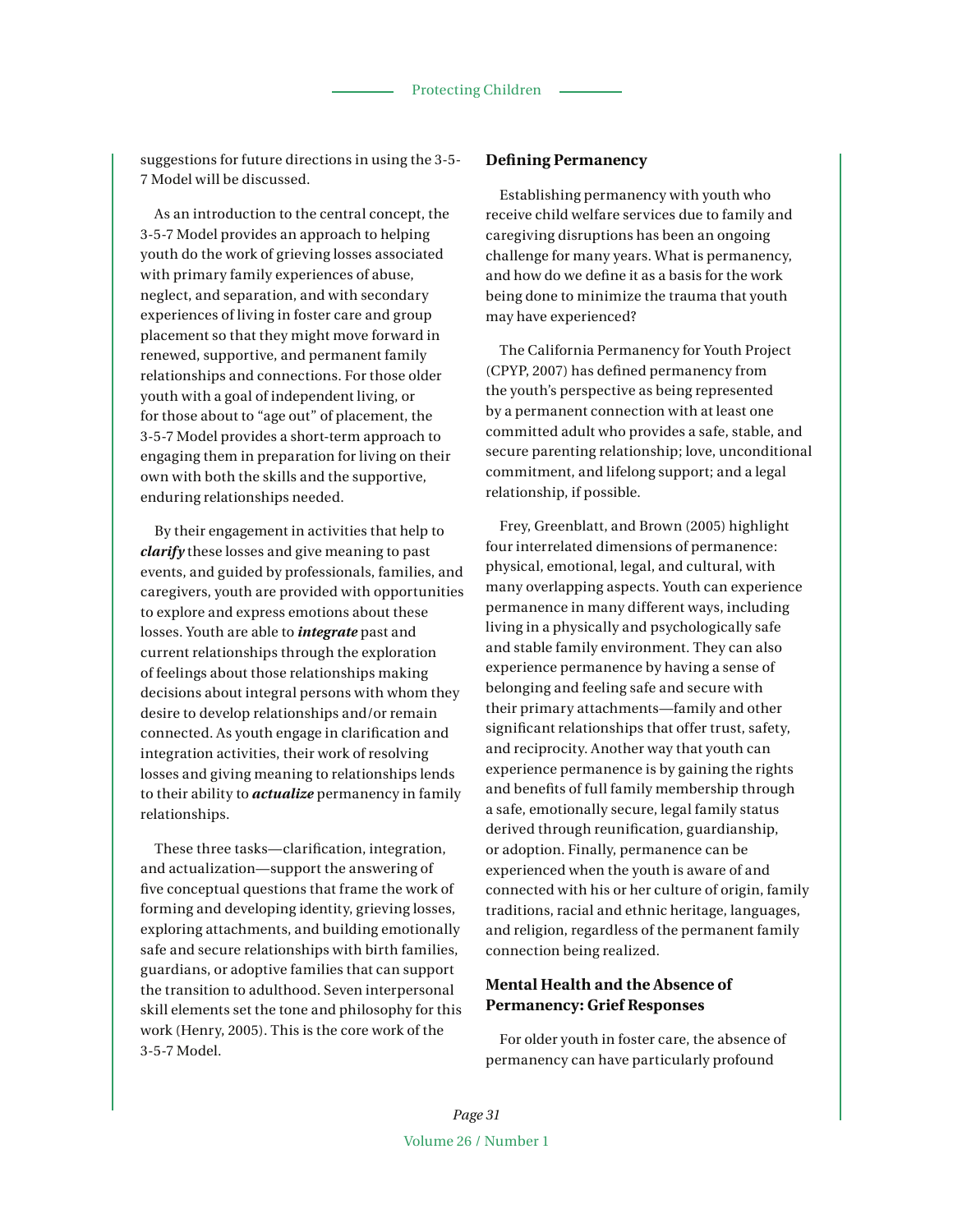suggestions for future directions in using the 3-5- 7 Model will be discussed.

As an introduction to the central concept, the 3-5-7 Model provides an approach to helping youth do the work of grieving losses associated with primary family experiences of abuse, neglect, and separation, and with secondary experiences of living in foster care and group placement so that they might move forward in renewed, supportive, and permanent family relationships and connections. For those older youth with a goal of independent living, or for those about to "age out" of placement, the 3-5-7 Model provides a short-term approach to engaging them in preparation for living on their own with both the skills and the supportive, enduring relationships needed.

By their engagement in activities that help to *clarify* these losses and give meaning to past events, and guided by professionals, families, and caregivers, youth are provided with opportunities to explore and express emotions about these losses. Youth are able to *integrate* past and current relationships through the exploration of feelings about those relationships making decisions about integral persons with whom they desire to develop relationships and/or remain connected. As youth engage in clarification and integration activities, their work of resolving losses and giving meaning to relationships lends to their ability to *actualize* permanency in family relationships.

These three tasks—clarification, integration, and actualization—support the answering of five conceptual questions that frame the work of forming and developing identity, grieving losses, exploring attachments, and building emotionally safe and secure relationships with birth families, guardians, or adoptive families that can support the transition to adulthood. Seven interpersonal skill elements set the tone and philosophy for this work (Henry, 2005). This is the core work of the 3-5-7 Model.

#### **Defining Permanency**

Establishing permanency with youth who receive child welfare services due to family and caregiving disruptions has been an ongoing challenge for many years. What is permanency, and how do we define it as a basis for the work being done to minimize the trauma that youth may have experienced?

The California Permanency for Youth Project (CPYP, 2007) has defined permanency from the youth's perspective as being represented by a permanent connection with at least one committed adult who provides a safe, stable, and secure parenting relationship; love, unconditional commitment, and lifelong support; and a legal relationship, if possible.

Frey, Greenblatt, and Brown (2005) highlight four interrelated dimensions of permanence: physical, emotional, legal, and cultural, with many overlapping aspects. Youth can experience permanence in many different ways, including living in a physically and psychologically safe and stable family environment. They can also experience permanence by having a sense of belonging and feeling safe and secure with their primary attachments—family and other significant relationships that offer trust, safety, and reciprocity. Another way that youth can experience permanence is by gaining the rights and benefits of full family membership through a safe, emotionally secure, legal family status derived through reunification, guardianship, or adoption. Finally, permanence can be experienced when the youth is aware of and connected with his or her culture of origin, family traditions, racial and ethnic heritage, languages, and religion, regardless of the permanent family connection being realized.

# **Mental Health and the Absence of Permanency: Grief Responses**

For older youth in foster care, the absence of permanency can have particularly profound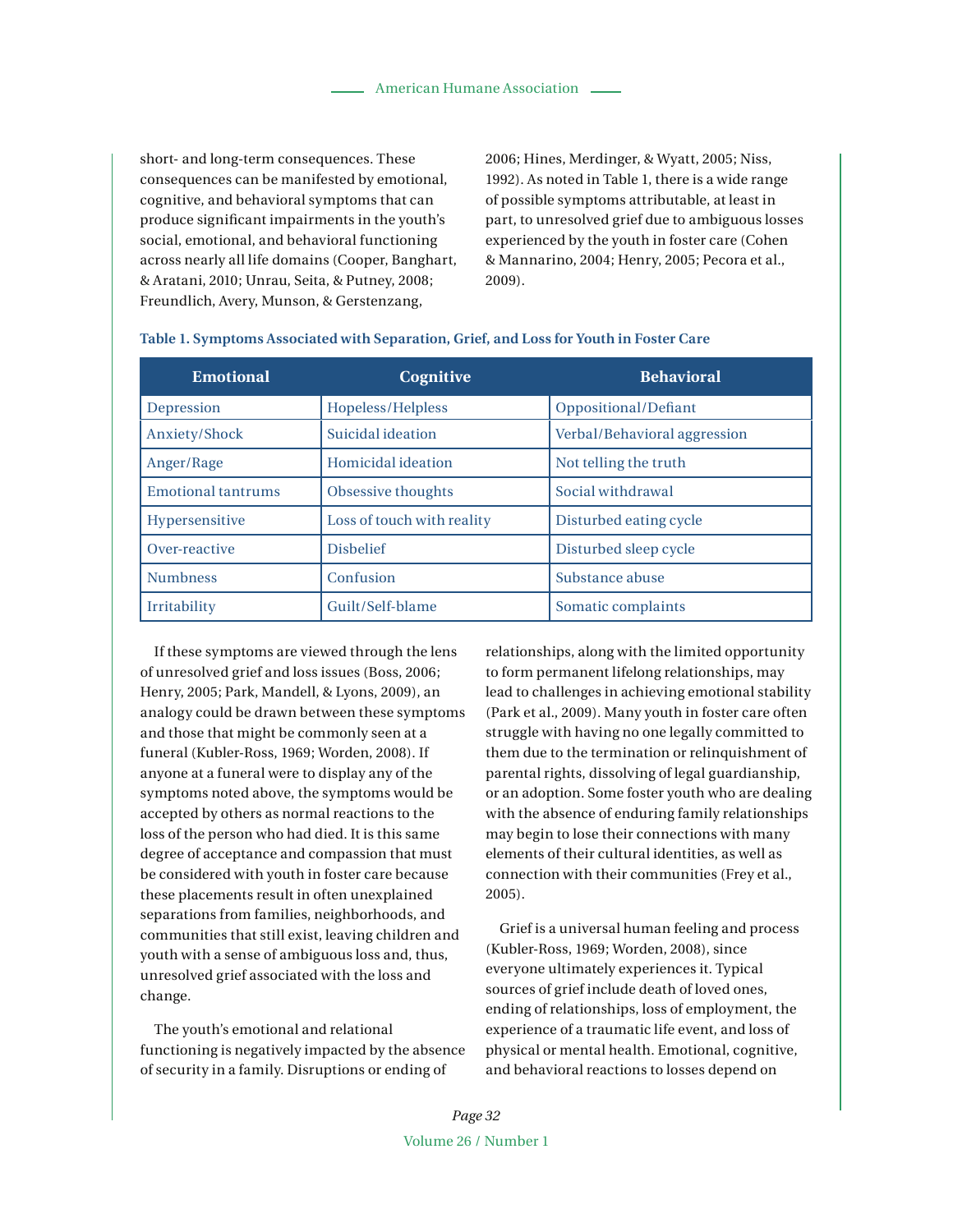short- and long-term consequences. These consequences can be manifested by emotional, cognitive, and behavioral symptoms that can produce significant impairments in the youth's social, emotional, and behavioral functioning across nearly all life domains (Cooper, Banghart, & Aratani, 2010; Unrau, Seita, & Putney, 2008; Freundlich, Avery, Munson, & Gerstenzang,

2006; Hines, Merdinger, & Wyatt, 2005; Niss, 1992). As noted in Table 1, there is a wide range of possible symptoms attributable, at least in part, to unresolved grief due to ambiguous losses experienced by the youth in foster care (Cohen & Mannarino, 2004; Henry, 2005; Pecora et al., 2009).

| <b>Emotional</b>          | Cognitive                  | <b>Behavioral</b>            |
|---------------------------|----------------------------|------------------------------|
| Depression                | Hopeless/Helpless          | Oppositional/Defiant         |
| Anxiety/Shock             | Suicidal ideation          | Verbal/Behavioral aggression |
| Anger/Rage                | Homicidal ideation         | Not telling the truth        |
| <b>Emotional tantrums</b> | Obsessive thoughts         | Social withdrawal            |
| Hypersensitive            | Loss of touch with reality | Disturbed eating cycle       |
| Over-reactive             | <b>Dishelief</b>           | Disturbed sleep cycle        |
| <b>Numbness</b>           | Confusion                  | Substance abuse              |
| Irritability              | Guilt/Self-blame           | Somatic complaints           |

#### **Table 1. Symptoms Associated with Separation, Grief, and Loss for Youth in Foster Care**

If these symptoms are viewed through the lens of unresolved grief and loss issues (Boss, 2006; Henry, 2005; Park, Mandell, & Lyons, 2009), an analogy could be drawn between these symptoms and those that might be commonly seen at a funeral (Kubler-Ross, 1969; Worden, 2008). If anyone at a funeral were to display any of the symptoms noted above, the symptoms would be accepted by others as normal reactions to the loss of the person who had died. It is this same degree of acceptance and compassion that must be considered with youth in foster care because these placements result in often unexplained separations from families, neighborhoods, and communities that still exist, leaving children and youth with a sense of ambiguous loss and, thus, unresolved grief associated with the loss and change.

The youth's emotional and relational functioning is negatively impacted by the absence of security in a family. Disruptions or ending of

relationships, along with the limited opportunity to form permanent lifelong relationships, may lead to challenges in achieving emotional stability (Park et al., 2009). Many youth in foster care often struggle with having no one legally committed to them due to the termination or relinquishment of parental rights, dissolving of legal guardianship, or an adoption. Some foster youth who are dealing with the absence of enduring family relationships may begin to lose their connections with many elements of their cultural identities, as well as connection with their communities (Frey et al., 2005).

Grief is a universal human feeling and process (Kubler-Ross, 1969; Worden, 2008), since everyone ultimately experiences it. Typical sources of grief include death of loved ones, ending of relationships, loss of employment, the experience of a traumatic life event, and loss of physical or mental health. Emotional, cognitive, and behavioral reactions to losses depend on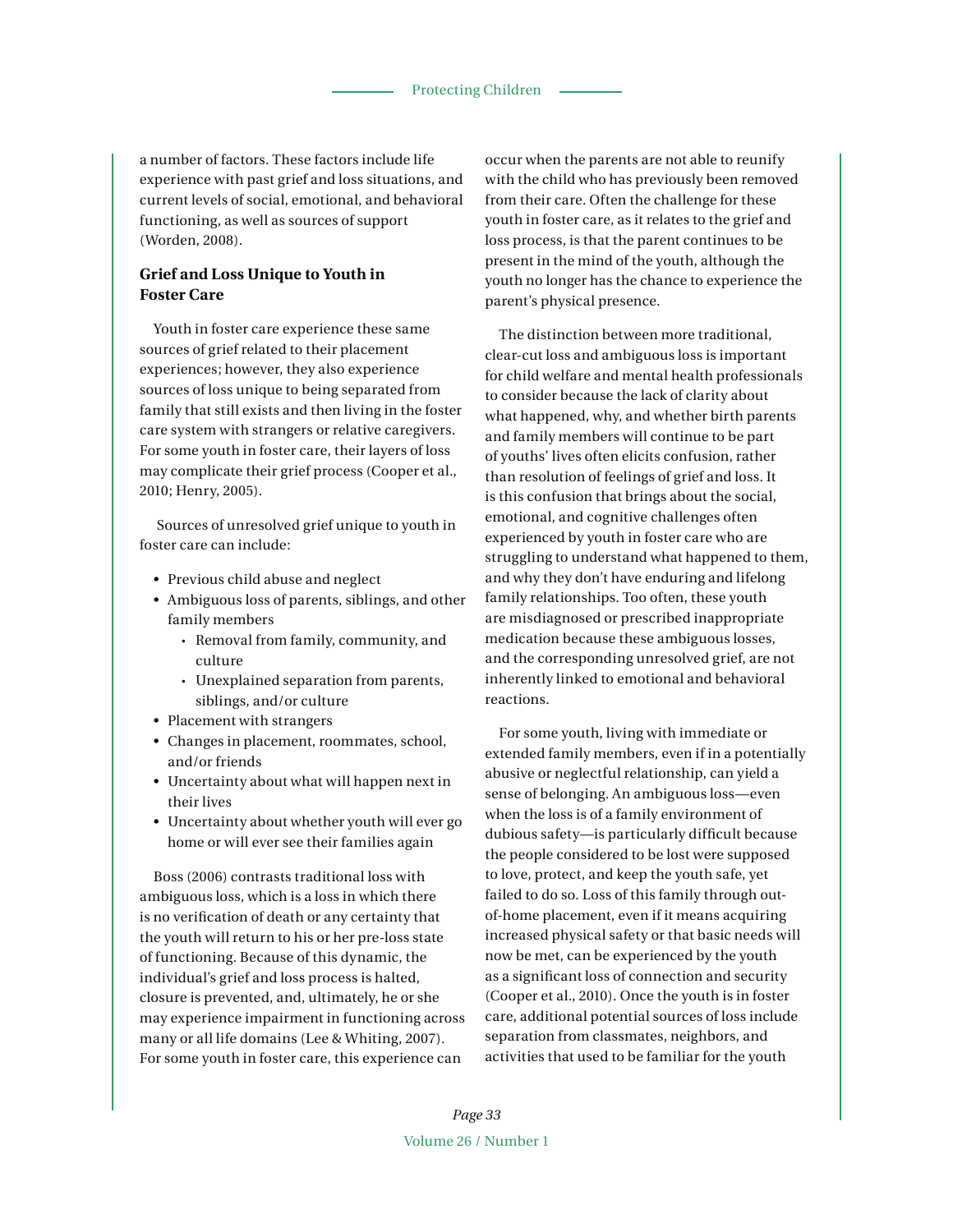a number of factors. These factors include life experience with past grief and loss situations, and current levels of social, emotional, and behavioral functioning, as well as sources of support (Worden, 2008).

# **Grief and Loss Unique to Youth in Foster Care**

Youth in foster care experience these same sources of grief related to their placement experiences; however, they also experience sources of loss unique to being separated from family that still exists and then living in the foster care system with strangers or relative caregivers. For some youth in foster care, their layers of loss may complicate their grief process (Cooper et al., 2010; Henry, 2005).

 Sources of unresolved grief unique to youth in foster care can include:

- Previous child abuse and neglect
- Ambiguous loss of parents, siblings, and other family members
	- Removal from family, community, and culture
	- Unexplained separation from parents, siblings, and/or culture
- Placement with strangers
- Changes in placement, roommates, school, and/or friends
- Uncertainty about what will happen next in their lives
- Uncertainty about whether youth will ever go home or will ever see their families again

Boss (2006) contrasts traditional loss with ambiguous loss, which is a loss in which there is no verification of death or any certainty that the youth will return to his or her pre-loss state of functioning. Because of this dynamic, the individual's grief and loss process is halted, closure is prevented, and, ultimately, he or she may experience impairment in functioning across many or all life domains (Lee & Whiting, 2007). For some youth in foster care, this experience can

occur when the parents are not able to reunify with the child who has previously been removed from their care. Often the challenge for these youth in foster care, as it relates to the grief and loss process, is that the parent continues to be present in the mind of the youth, although the youth no longer has the chance to experience the parent's physical presence.

The distinction between more traditional, clear-cut loss and ambiguous loss is important for child welfare and mental health professionals to consider because the lack of clarity about what happened, why, and whether birth parents and family members will continue to be part of youths' lives often elicits confusion, rather than resolution of feelings of grief and loss. It is this confusion that brings about the social, emotional, and cognitive challenges often experienced by youth in foster care who are struggling to understand what happened to them, and why they don't have enduring and lifelong family relationships. Too often, these youth are misdiagnosed or prescribed inappropriate medication because these ambiguous losses, and the corresponding unresolved grief, are not inherently linked to emotional and behavioral reactions.

For some youth, living with immediate or extended family members, even if in a potentially abusive or neglectful relationship, can yield a sense of belonging. An ambiguous loss—even when the loss is of a family environment of dubious safety—is particularly difficult because the people considered to be lost were supposed to love, protect, and keep the youth safe, yet failed to do so. Loss of this family through outof-home placement, even if it means acquiring increased physical safety or that basic needs will now be met, can be experienced by the youth as a significant loss of connection and security (Cooper et al., 2010). Once the youth is in foster care, additional potential sources of loss include separation from classmates, neighbors, and activities that used to be familiar for the youth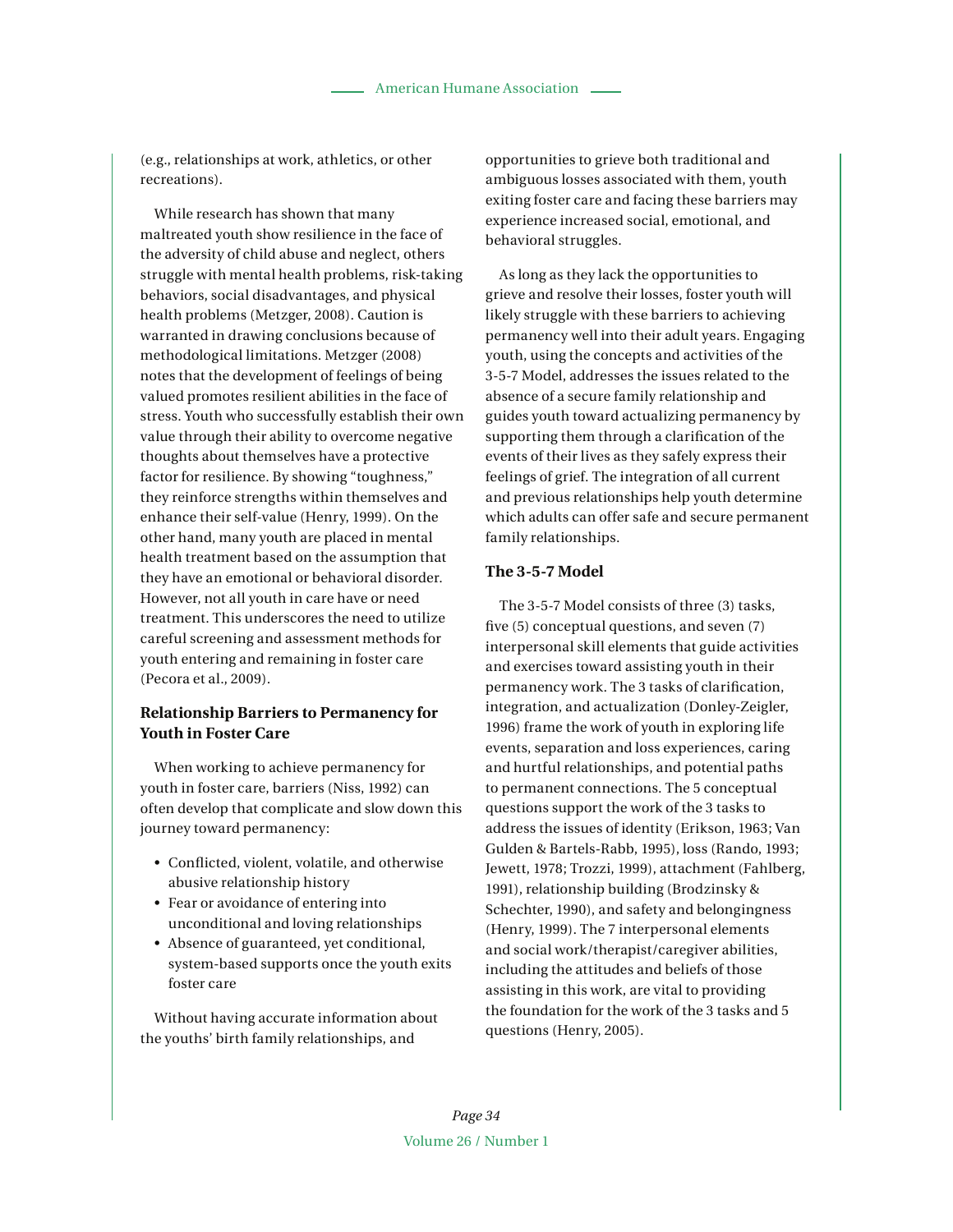(e.g., relationships at work, athletics, or other recreations).

While research has shown that many maltreated youth show resilience in the face of the adversity of child abuse and neglect, others struggle with mental health problems, risk-taking behaviors, social disadvantages, and physical health problems (Metzger, 2008). Caution is warranted in drawing conclusions because of methodological limitations. Metzger (2008) notes that the development of feelings of being valued promotes resilient abilities in the face of stress. Youth who successfully establish their own value through their ability to overcome negative thoughts about themselves have a protective factor for resilience. By showing "toughness," they reinforce strengths within themselves and enhance their self-value (Henry, 1999). On the other hand, many youth are placed in mental health treatment based on the assumption that they have an emotional or behavioral disorder. However, not all youth in care have or need treatment. This underscores the need to utilize careful screening and assessment methods for youth entering and remaining in foster care (Pecora et al., 2009).

# **Relationship Barriers to Permanency for Youth in Foster Care**

When working to achieve permanency for youth in foster care, barriers (Niss, 1992) can often develop that complicate and slow down this journey toward permanency:

- s Conflicted, violent, volatile, and otherwise abusive relationship history
- Fear or avoidance of entering into unconditional and loving relationships
- Absence of guaranteed, yet conditional, system-based supports once the youth exits foster care

Without having accurate information about the youths' birth family relationships, and

opportunities to grieve both traditional and ambiguous losses associated with them, youth exiting foster care and facing these barriers may experience increased social, emotional, and behavioral struggles.

As long as they lack the opportunities to grieve and resolve their losses, foster youth will likely struggle with these barriers to achieving permanency well into their adult years. Engaging youth, using the concepts and activities of the 3-5-7 Model, addresses the issues related to the absence of a secure family relationship and guides youth toward actualizing permanency by supporting them through a clarification of the events of their lives as they safely express their feelings of grief. The integration of all current and previous relationships help youth determine which adults can offer safe and secure permanent family relationships.

#### **The 3-5-7 Model**

The 3-5-7 Model consists of three (3) tasks, five (5) conceptual questions, and seven (7) interpersonal skill elements that guide activities and exercises toward assisting youth in their permanency work. The 3 tasks of clarification, integration, and actualization (Donley-Zeigler, 1996) frame the work of youth in exploring life events, separation and loss experiences, caring and hurtful relationships, and potential paths to permanent connections. The 5 conceptual questions support the work of the 3 tasks to address the issues of identity (Erikson, 1963; Van Gulden & Bartels-Rabb, 1995), loss (Rando, 1993; Jewett, 1978; Trozzi, 1999), attachment (Fahlberg, 1991), relationship building (Brodzinsky & Schechter, 1990), and safety and belongingness (Henry, 1999). The 7 interpersonal elements and social work/therapist/caregiver abilities, including the attitudes and beliefs of those assisting in this work, are vital to providing the foundation for the work of the 3 tasks and 5 questions (Henry, 2005).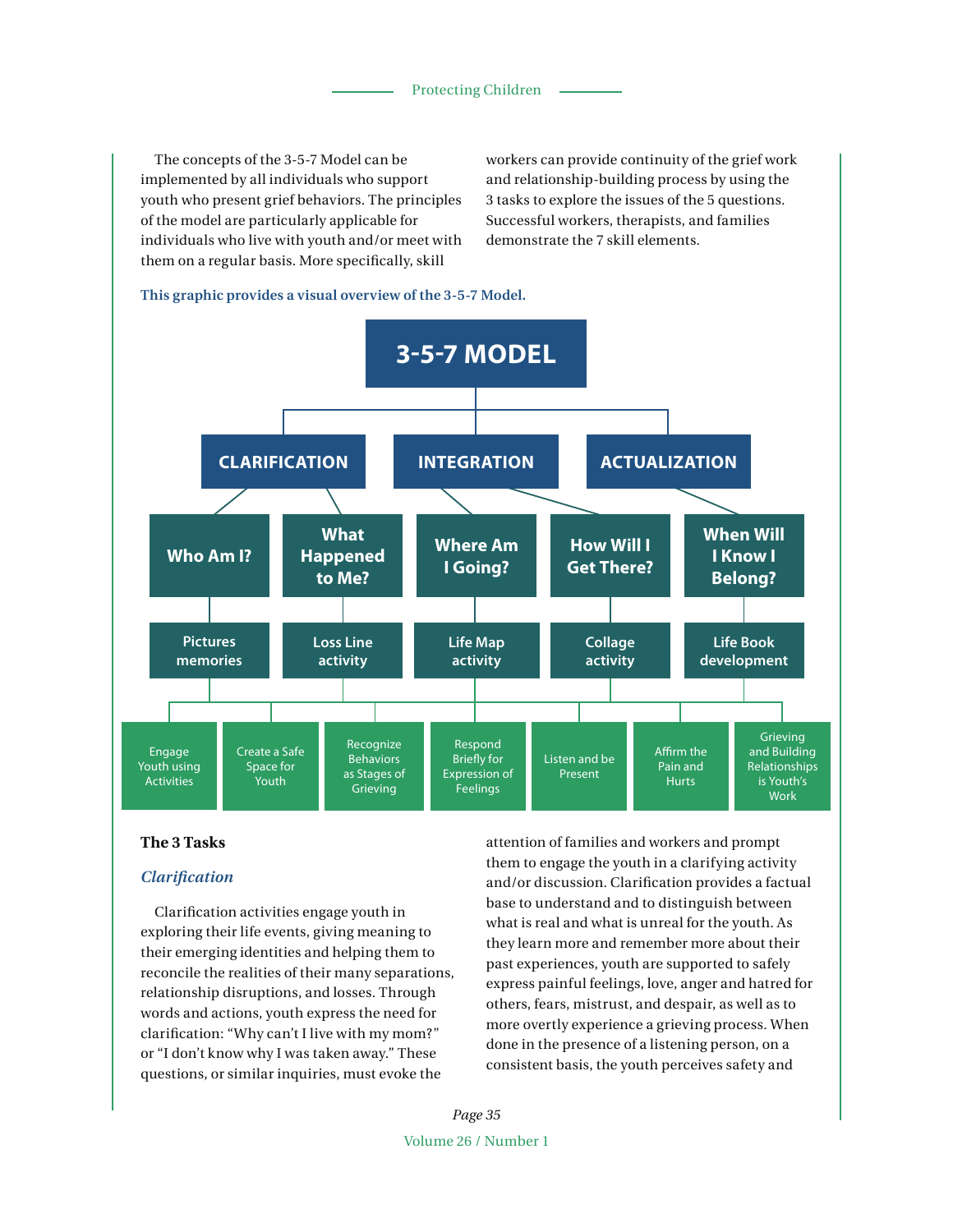The concepts of the 3-5-7 Model can be implemented by all individuals who support youth who present grief behaviors. The principles of the model are particularly applicable for individuals who live with youth and/or meet with them on a regular basis. More specifically, skill

workers can provide continuity of the grief work and relationship-building process by using the 3 tasks to explore the issues of the 5 questions. Successful workers, therapists, and families demonstrate the 7 skill elements.

**This graphic provides a visual overview of the 3-5-7 Model.**



## **The 3 Tasks**

## *Clarification*

Clarification activities engage youth in exploring their life events, giving meaning to their emerging identities and helping them to reconcile the realities of their many separations, relationship disruptions, and losses. Through words and actions, youth express the need for clarification: "Why can't I live with my mom?" or "I don't know why I was taken away." These questions, or similar inquiries, must evoke the

attention of families and workers and prompt them to engage the youth in a clarifying activity and/or discussion. Clarification provides a factual base to understand and to distinguish between what is real and what is unreal for the youth. As they learn more and remember more about their past experiences, youth are supported to safely express painful feelings, love, anger and hatred for others, fears, mistrust, and despair, as well as to more overtly experience a grieving process. When done in the presence of a listening person, on a consistent basis, the youth perceives safety and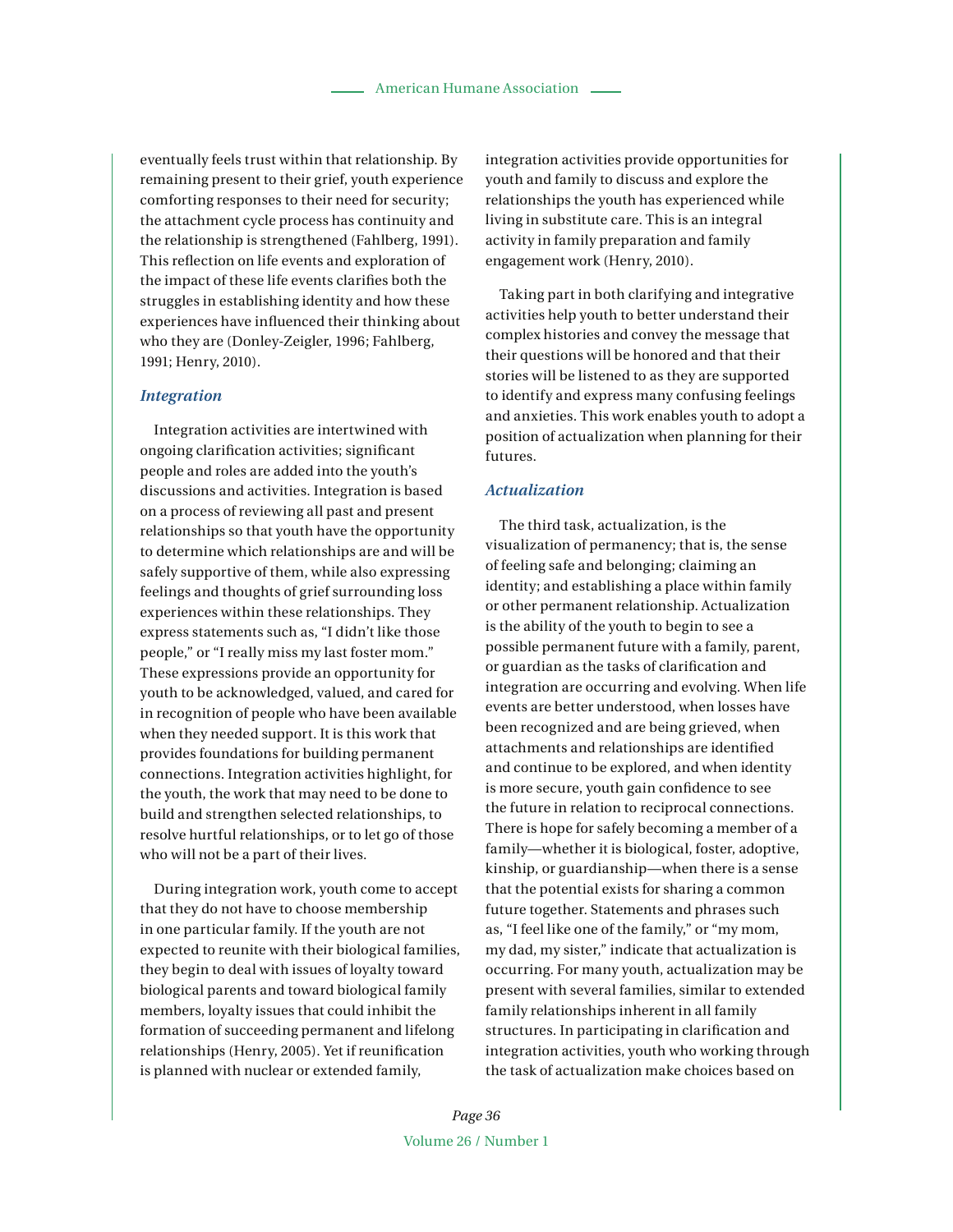eventually feels trust within that relationship. By remaining present to their grief, youth experience comforting responses to their need for security; the attachment cycle process has continuity and the relationship is strengthened (Fahlberg, 1991). This reflection on life events and exploration of the impact of these life events clarifies both the struggles in establishing identity and how these experiences have influenced their thinking about who they are (Donley-Zeigler, 1996; Fahlberg, 1991; Henry, 2010).

#### *Integration*

Integration activities are intertwined with ongoing clarification activities; significant people and roles are added into the youth's discussions and activities. Integration is based on a process of reviewing all past and present relationships so that youth have the opportunity to determine which relationships are and will be safely supportive of them, while also expressing feelings and thoughts of grief surrounding loss experiences within these relationships. They express statements such as, "I didn't like those people," or "I really miss my last foster mom." These expressions provide an opportunity for youth to be acknowledged, valued, and cared for in recognition of people who have been available when they needed support. It is this work that provides foundations for building permanent connections. Integration activities highlight, for the youth, the work that may need to be done to build and strengthen selected relationships, to resolve hurtful relationships, or to let go of those who will not be a part of their lives.

During integration work, youth come to accept that they do not have to choose membership in one particular family. If the youth are not expected to reunite with their biological families, they begin to deal with issues of loyalty toward biological parents and toward biological family members, loyalty issues that could inhibit the formation of succeeding permanent and lifelong relationships (Henry, 2005). Yet if reunification is planned with nuclear or extended family,

integration activities provide opportunities for youth and family to discuss and explore the relationships the youth has experienced while living in substitute care. This is an integral activity in family preparation and family engagement work (Henry, 2010).

Taking part in both clarifying and integrative activities help youth to better understand their complex histories and convey the message that their questions will be honored and that their stories will be listened to as they are supported to identify and express many confusing feelings and anxieties. This work enables youth to adopt a position of actualization when planning for their futures.

# *Actualization*

The third task, actualization, is the visualization of permanency; that is, the sense of feeling safe and belonging; claiming an identity; and establishing a place within family or other permanent relationship. Actualization is the ability of the youth to begin to see a possible permanent future with a family, parent, or guardian as the tasks of clarification and integration are occurring and evolving. When life events are better understood, when losses have been recognized and are being grieved, when attachments and relationships are identified and continue to be explored, and when identity is more secure, youth gain confidence to see the future in relation to reciprocal connections. There is hope for safely becoming a member of a family—whether it is biological, foster, adoptive, kinship, or guardianship—when there is a sense that the potential exists for sharing a common future together. Statements and phrases such as, "I feel like one of the family," or "my mom, my dad, my sister," indicate that actualization is occurring. For many youth, actualization may be present with several families, similar to extended family relationships inherent in all family structures. In participating in clarification and integration activities, youth who working through the task of actualization make choices based on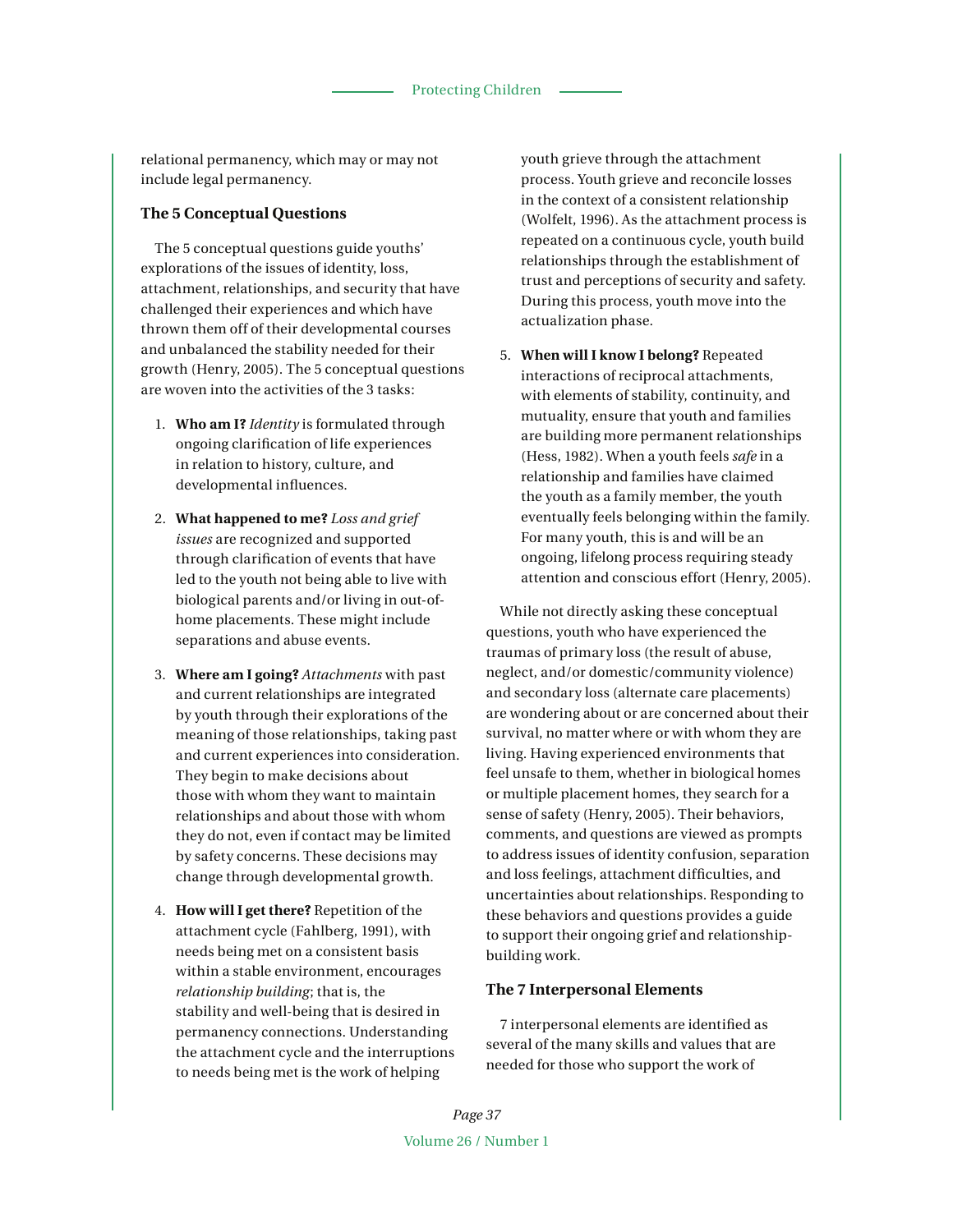relational permanency, which may or may not include legal permanency.

# **The 5 Conceptual Questions**

The 5 conceptual questions guide youths' explorations of the issues of identity, loss, attachment, relationships, and security that have challenged their experiences and which have thrown them off of their developmental courses and unbalanced the stability needed for their growth (Henry, 2005). The 5 conceptual questions are woven into the activities of the 3 tasks:

- 1. **Who am I?** *Identity* is formulated through ongoing clarification of life experiences in relation to history, culture, and developmental influences.
- 2. **What happened to me?** *Loss and grief issues* are recognized and supported through clarification of events that have led to the youth not being able to live with biological parents and/or living in out-ofhome placements. These might include separations and abuse events.
- 3. **Where am I going?** *Attachments* with past and current relationships are integrated by youth through their explorations of the meaning of those relationships, taking past and current experiences into consideration. They begin to make decisions about those with whom they want to maintain relationships and about those with whom they do not, even if contact may be limited by safety concerns. These decisions may change through developmental growth.
- 4. **How will I get there?** Repetition of the attachment cycle (Fahlberg, 1991), with needs being met on a consistent basis within a stable environment, encourages *relationship building*; that is, the stability and well-being that is desired in permanency connections. Understanding the attachment cycle and the interruptions to needs being met is the work of helping

youth grieve through the attachment process. Youth grieve and reconcile losses in the context of a consistent relationship (Wolfelt, 1996). As the attachment process is repeated on a continuous cycle, youth build relationships through the establishment of trust and perceptions of security and safety. During this process, youth move into the actualization phase.

5. **When will I know I belong?** Repeated interactions of reciprocal attachments, with elements of stability, continuity, and mutuality, ensure that youth and families are building more permanent relationships (Hess, 1982). When a youth feels *safe* in a relationship and families have claimed the youth as a family member, the youth eventually feels belonging within the family. For many youth, this is and will be an ongoing, lifelong process requiring steady attention and conscious effort (Henry, 2005).

While not directly asking these conceptual questions, youth who have experienced the traumas of primary loss (the result of abuse, neglect, and/or domestic/community violence) and secondary loss (alternate care placements) are wondering about or are concerned about their survival, no matter where or with whom they are living. Having experienced environments that feel unsafe to them, whether in biological homes or multiple placement homes, they search for a sense of safety (Henry, 2005). Their behaviors, comments, and questions are viewed as prompts to address issues of identity confusion, separation and loss feelings, attachment difficulties, and uncertainties about relationships. Responding to these behaviors and questions provides a guide to support their ongoing grief and relationshipbuilding work.

#### **The 7 Interpersonal Elements**

7 interpersonal elements are identified as several of the many skills and values that are needed for those who support the work of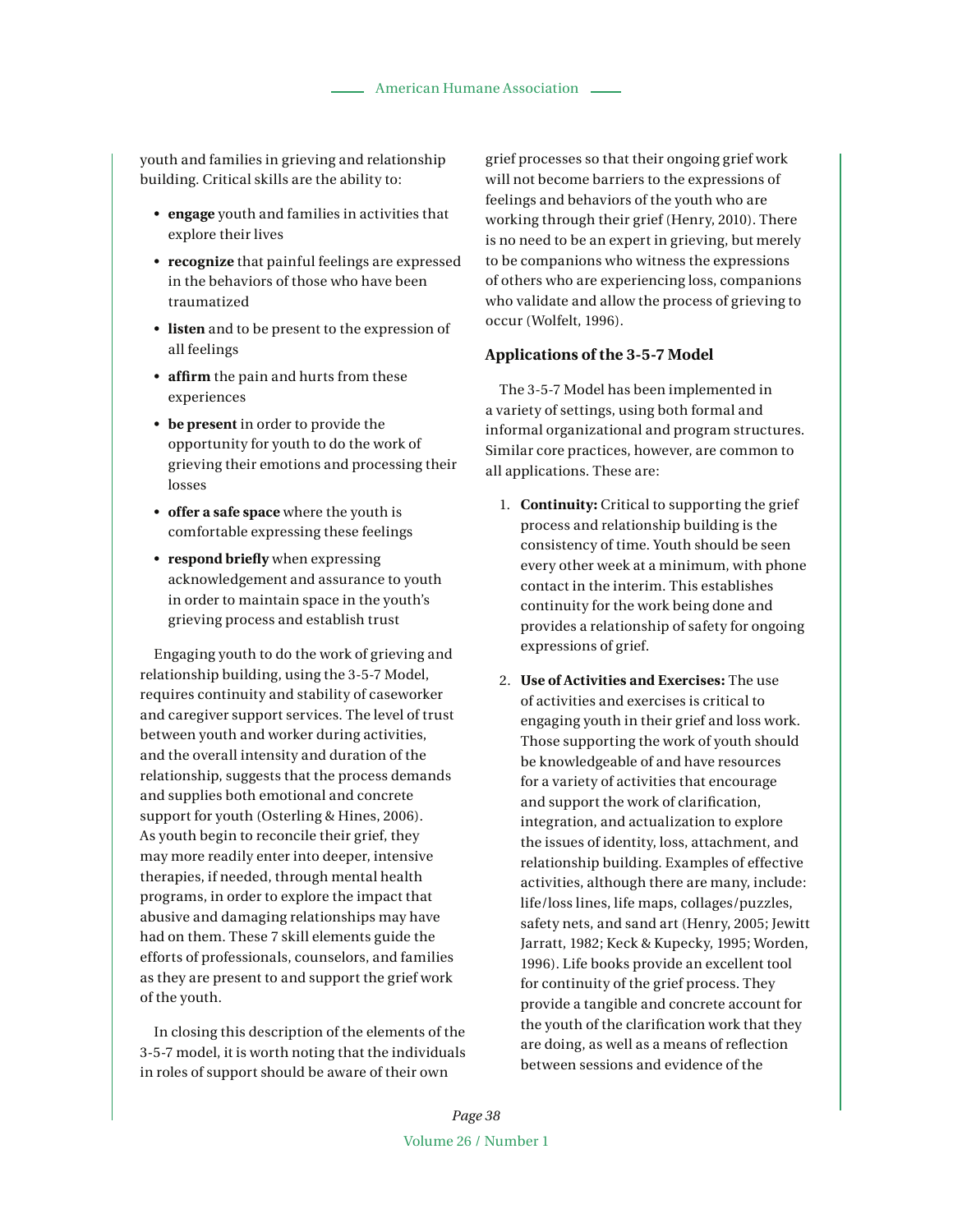youth and families in grieving and relationship building. Critical skills are the ability to:

- s **engage** youth and families in activities that explore their lives
- **recognize** that painful feelings are expressed in the behaviors of those who have been traumatized
- **listen** and to be present to the expression of all feelings
- **affirm** the pain and hurts from these experiences
- **be present** in order to provide the opportunity for youth to do the work of grieving their emotions and processing their losses
- s **offer a safe space** where the youth is comfortable expressing these feelings
- **respond briefly** when expressing acknowledgement and assurance to youth in order to maintain space in the youth's grieving process and establish trust

Engaging youth to do the work of grieving and relationship building, using the 3-5-7 Model, requires continuity and stability of caseworker and caregiver support services. The level of trust between youth and worker during activities, and the overall intensity and duration of the relationship, suggests that the process demands and supplies both emotional and concrete support for youth (Osterling & Hines, 2006). As youth begin to reconcile their grief, they may more readily enter into deeper, intensive therapies, if needed, through mental health programs, in order to explore the impact that abusive and damaging relationships may have had on them. These 7 skill elements guide the efforts of professionals, counselors, and families as they are present to and support the grief work of the youth.

In closing this description of the elements of the 3-5-7 model, it is worth noting that the individuals in roles of support should be aware of their own

grief processes so that their ongoing grief work will not become barriers to the expressions of feelings and behaviors of the youth who are working through their grief (Henry, 2010). There is no need to be an expert in grieving, but merely to be companions who witness the expressions of others who are experiencing loss, companions who validate and allow the process of grieving to occur (Wolfelt, 1996).

## **Applications of the 3-5-7 Model**

The 3-5-7 Model has been implemented in a variety of settings, using both formal and informal organizational and program structures. Similar core practices, however, are common to all applications. These are:

- 1. **Continuity:** Critical to supporting the grief process and relationship building is the consistency of time. Youth should be seen every other week at a minimum, with phone contact in the interim. This establishes continuity for the work being done and provides a relationship of safety for ongoing expressions of grief.
- 2. **Use of Activities and Exercises:** The use of activities and exercises is critical to engaging youth in their grief and loss work. Those supporting the work of youth should be knowledgeable of and have resources for a variety of activities that encourage and support the work of clarification, integration, and actualization to explore the issues of identity, loss, attachment, and relationship building. Examples of effective activities, although there are many, include: life/loss lines, life maps, collages/puzzles, safety nets, and sand art (Henry, 2005; Jewitt Jarratt, 1982; Keck & Kupecky, 1995; Worden, 1996). Life books provide an excellent tool for continuity of the grief process. They provide a tangible and concrete account for the youth of the clarification work that they are doing, as well as a means of reflection between sessions and evidence of the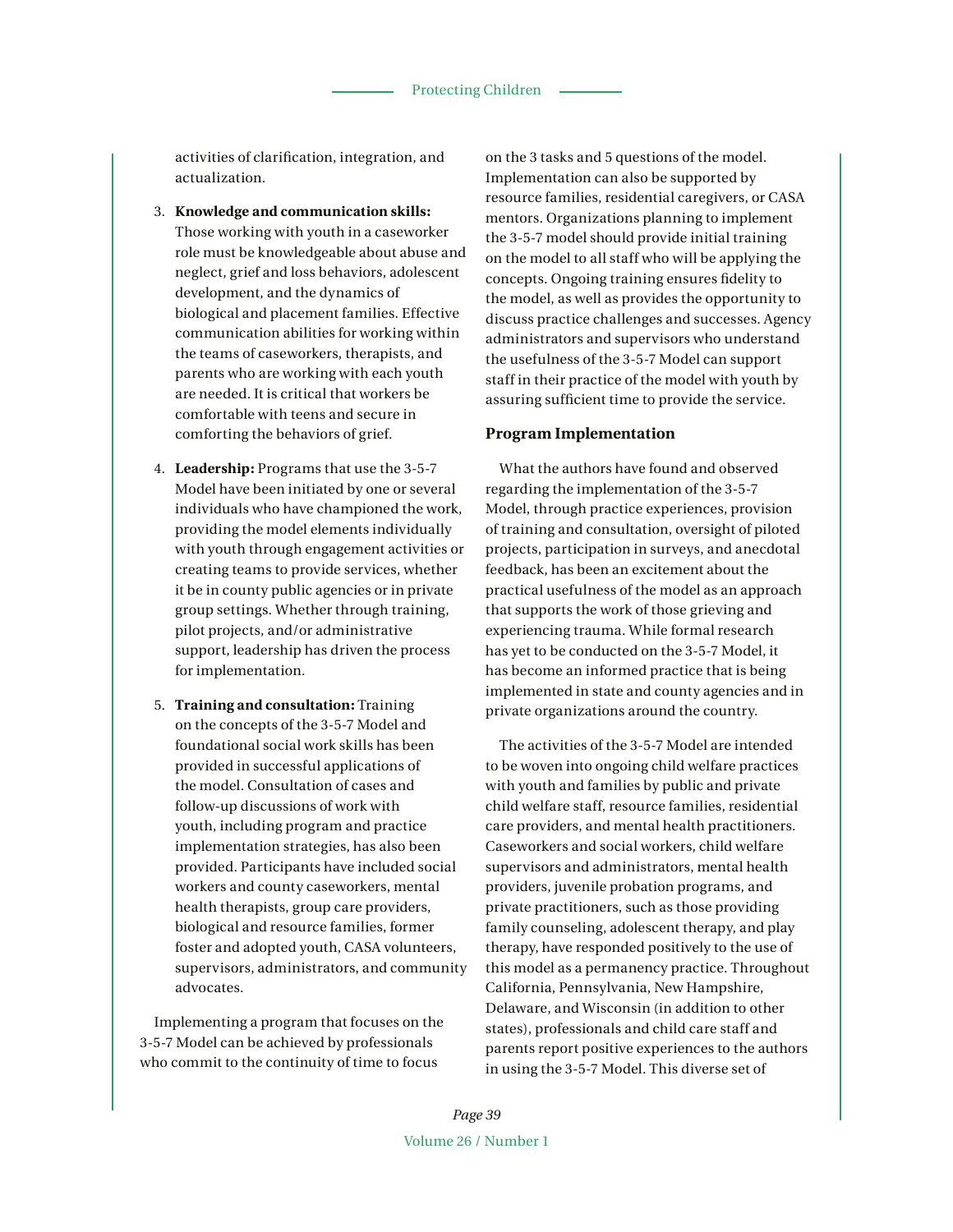activities of clarification, integration, and actualization.

- 3. **Knowledge and communication skills:**  Those working with youth in a caseworker role must be knowledgeable about abuse and neglect, grief and loss behaviors, adolescent development, and the dynamics of biological and placement families. Effective communication abilities for working within the teams of caseworkers, therapists, and parents who are working with each youth are needed. It is critical that workers be comfortable with teens and secure in comforting the behaviors of grief.
- 4. **Leadership:** Programs that use the 3-5-7 Model have been initiated by one or several individuals who have championed the work, providing the model elements individually with youth through engagement activities or creating teams to provide services, whether it be in county public agencies or in private group settings. Whether through training, pilot projects, and/or administrative support, leadership has driven the process for implementation.
- 5. **Training and consultation:** Training on the concepts of the 3-5-7 Model and foundational social work skills has been provided in successful applications of the model. Consultation of cases and follow-up discussions of work with youth, including program and practice implementation strategies, has also been provided. Participants have included social workers and county caseworkers, mental health therapists, group care providers, biological and resource families, former foster and adopted youth, CASA volunteers, supervisors, administrators, and community advocates.

Implementing a program that focuses on the 3-5-7 Model can be achieved by professionals who commit to the continuity of time to focus

on the 3 tasks and 5 questions of the model. Implementation can also be supported by resource families, residential caregivers, or CASA mentors. Organizations planning to implement the 3-5-7 model should provide initial training on the model to all staff who will be applying the concepts. Ongoing training ensures fidelity to the model, as well as provides the opportunity to discuss practice challenges and successes. Agency administrators and supervisors who understand the usefulness of the 3-5-7 Model can support staff in their practice of the model with youth by assuring sufficient time to provide the service.

# **Program Implementation**

What the authors have found and observed regarding the implementation of the 3-5-7 Model, through practice experiences, provision of training and consultation, oversight of piloted projects, participation in surveys, and anecdotal feedback, has been an excitement about the practical usefulness of the model as an approach that supports the work of those grieving and experiencing trauma. While formal research has yet to be conducted on the 3-5-7 Model, it has become an informed practice that is being implemented in state and county agencies and in private organizations around the country.

The activities of the 3-5-7 Model are intended to be woven into ongoing child welfare practices with youth and families by public and private child welfare staff, resource families, residential care providers, and mental health practitioners. Caseworkers and social workers, child welfare supervisors and administrators, mental health providers, juvenile probation programs, and private practitioners, such as those providing family counseling, adolescent therapy, and play therapy, have responded positively to the use of this model as a permanency practice. Throughout California, Pennsylvania, New Hampshire, Delaware, and Wisconsin (in addition to other states), professionals and child care staff and parents report positive experiences to the authors in using the 3-5-7 Model. This diverse set of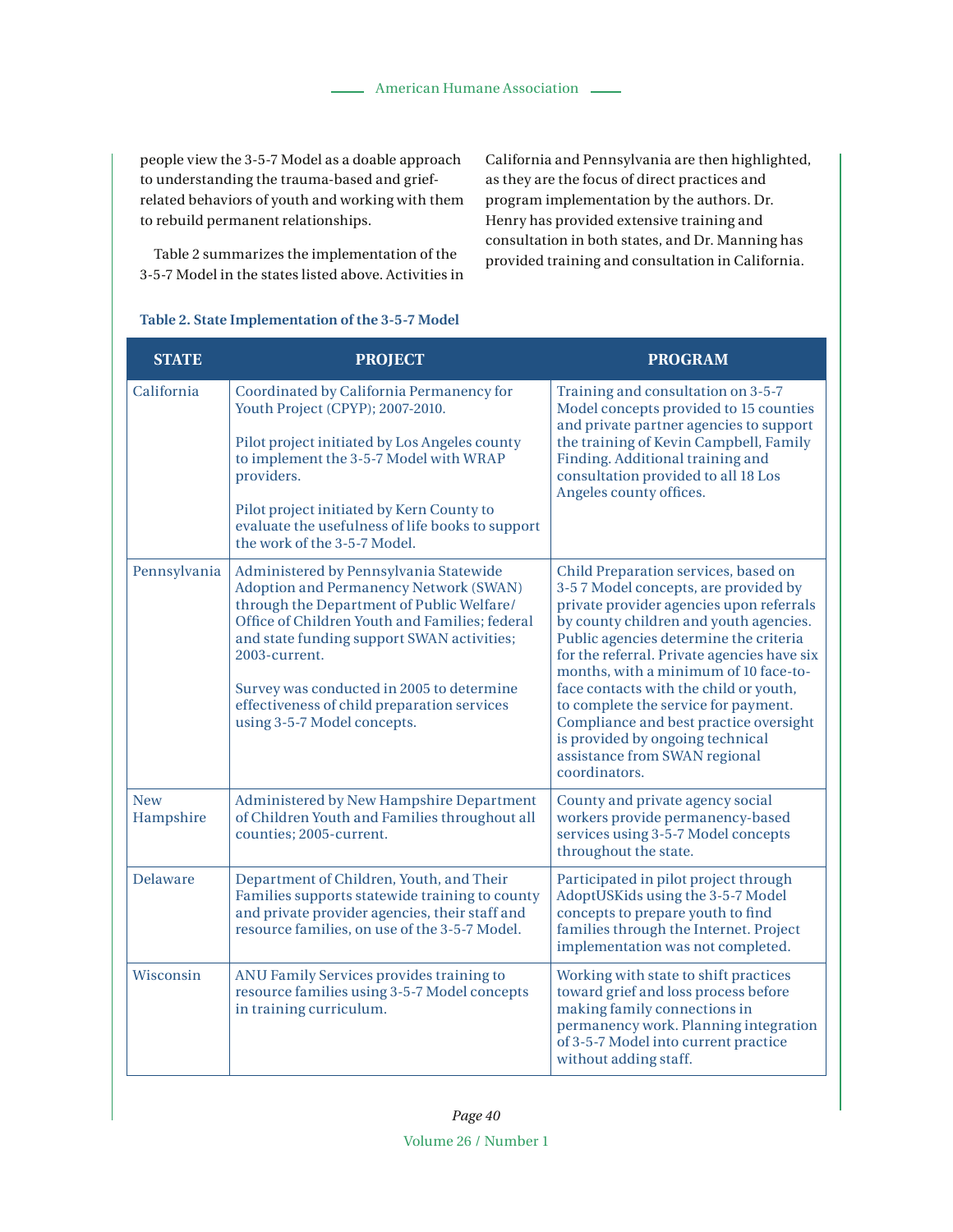people view the 3-5-7 Model as a doable approach to understanding the trauma-based and griefrelated behaviors of youth and working with them to rebuild permanent relationships.

Table 2 summarizes the implementation of the 3-5-7 Model in the states listed above. Activities in California and Pennsylvania are then highlighted, as they are the focus of direct practices and program implementation by the authors. Dr. Henry has provided extensive training and consultation in both states, and Dr. Manning has provided training and consultation in California.

# **Table 2. State Implementation of the 3-5-7 Model**

| <b>STATE</b>            | <b>PROJECT</b>                                                                                                                                                                                                                                                                                                                                                            | <b>PROGRAM</b>                                                                                                                                                                                                                                                                                                                                                                                                                                                                                                         |
|-------------------------|---------------------------------------------------------------------------------------------------------------------------------------------------------------------------------------------------------------------------------------------------------------------------------------------------------------------------------------------------------------------------|------------------------------------------------------------------------------------------------------------------------------------------------------------------------------------------------------------------------------------------------------------------------------------------------------------------------------------------------------------------------------------------------------------------------------------------------------------------------------------------------------------------------|
| California              | Coordinated by California Permanency for<br>Youth Project (CPYP); 2007-2010.<br>Pilot project initiated by Los Angeles county<br>to implement the 3-5-7 Model with WRAP<br>providers.<br>Pilot project initiated by Kern County to<br>evaluate the usefulness of life books to support<br>the work of the 3-5-7 Model.                                                    | Training and consultation on 3-5-7<br>Model concepts provided to 15 counties<br>and private partner agencies to support<br>the training of Kevin Campbell, Family<br>Finding. Additional training and<br>consultation provided to all 18 Los<br>Angeles county offices.                                                                                                                                                                                                                                                |
| Pennsylvania            | Administered by Pennsylvania Statewide<br>Adoption and Permanency Network (SWAN)<br>through the Department of Public Welfare/<br>Office of Children Youth and Families; federal<br>and state funding support SWAN activities;<br>2003-current.<br>Survey was conducted in 2005 to determine<br>effectiveness of child preparation services<br>using 3-5-7 Model concepts. | Child Preparation services, based on<br>3-57 Model concepts, are provided by<br>private provider agencies upon referrals<br>by county children and youth agencies.<br>Public agencies determine the criteria<br>for the referral. Private agencies have six<br>months, with a minimum of 10 face-to-<br>face contacts with the child or youth,<br>to complete the service for payment.<br>Compliance and best practice oversight<br>is provided by ongoing technical<br>assistance from SWAN regional<br>coordinators. |
| <b>New</b><br>Hampshire | Administered by New Hampshire Department<br>of Children Youth and Families throughout all<br>counties; 2005-current.                                                                                                                                                                                                                                                      | County and private agency social<br>workers provide permanency-based<br>services using 3-5-7 Model concepts<br>throughout the state.                                                                                                                                                                                                                                                                                                                                                                                   |
| Delaware                | Department of Children, Youth, and Their<br>Families supports statewide training to county<br>and private provider agencies, their staff and<br>resource families, on use of the 3-5-7 Model.                                                                                                                                                                             | Participated in pilot project through<br>AdoptUSKids using the 3-5-7 Model<br>concepts to prepare youth to find<br>families through the Internet. Project<br>implementation was not completed.                                                                                                                                                                                                                                                                                                                         |
| Wisconsin               | ANU Family Services provides training to<br>resource families using 3-5-7 Model concepts<br>in training curriculum.                                                                                                                                                                                                                                                       | Working with state to shift practices<br>toward grief and loss process before<br>making family connections in<br>permanency work. Planning integration<br>of 3-5-7 Model into current practice<br>without adding staff.                                                                                                                                                                                                                                                                                                |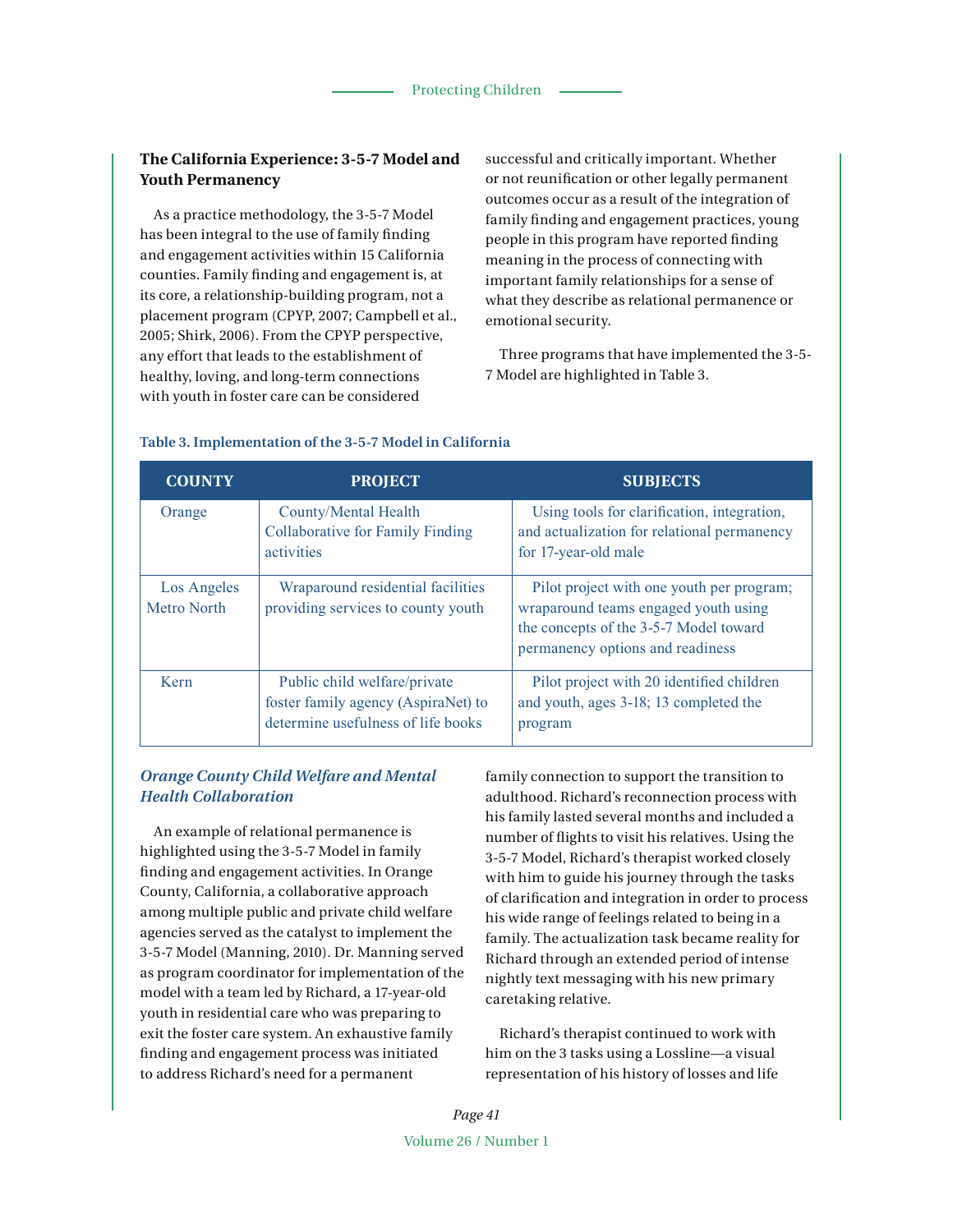# **The California Experience: 3-5-7 Model and Youth Permanency**

As a practice methodology, the 3-5-7 Model has been integral to the use of family finding and engagement activities within 15 California counties. Family finding and engagement is, at its core, a relationship-building program, not a placement program (CPYP, 2007; Campbell et al., 2005; Shirk, 2006). From the CPYP perspective, any effort that leads to the establishment of healthy, loving, and long-term connections with youth in foster care can be considered

successful and critically important. Whether or not reunification or other legally permanent outcomes occur as a result of the integration of family finding and engagement practices, young people in this program have reported finding meaning in the process of connecting with important family relationships for a sense of what they describe as relational permanence or emotional security.

Three programs that have implemented the 3-5- 7 Model are highlighted in Table 3.

| <b>COUNTY</b>              | <b>PROJECT</b>                                                                                            | <b>SUBJECTS</b>                                                                                                                                                 |
|----------------------------|-----------------------------------------------------------------------------------------------------------|-----------------------------------------------------------------------------------------------------------------------------------------------------------------|
| Orange                     | County/Mental Health<br><b>Collaborative for Family Finding</b><br>activities                             | Using tools for clarification, integration,<br>and actualization for relational permanency<br>for 17-year-old male                                              |
| Los Angeles<br>Metro North | Wraparound residential facilities<br>providing services to county youth                                   | Pilot project with one youth per program;<br>wraparound teams engaged youth using<br>the concepts of the 3-5-7 Model toward<br>permanency options and readiness |
| Kern                       | Public child welfare/private<br>foster family agency (AspiraNet) to<br>determine usefulness of life books | Pilot project with 20 identified children<br>and youth, ages 3-18; 13 completed the<br>program                                                                  |

## **Table 3. Implementation of the 3-5-7 Model in California**

# *Orange County Child Welfare and Mental Health Collaboration*

An example of relational permanence is highlighted using the 3-5-7 Model in family finding and engagement activities. In Orange County, California, a collaborative approach among multiple public and private child welfare agencies served as the catalyst to implement the 3-5-7 Model (Manning, 2010). Dr. Manning served as program coordinator for implementation of the model with a team led by Richard, a 17-year-old youth in residential care who was preparing to exit the foster care system. An exhaustive family finding and engagement process was initiated to address Richard's need for a permanent

family connection to support the transition to adulthood. Richard's reconnection process with his family lasted several months and included a number of flights to visit his relatives. Using the 3-5-7 Model, Richard's therapist worked closely with him to guide his journey through the tasks of clarification and integration in order to process his wide range of feelings related to being in a family. The actualization task became reality for Richard through an extended period of intense nightly text messaging with his new primary caretaking relative.

Richard's therapist continued to work with him on the 3 tasks using a Lossline—a visual representation of his history of losses and life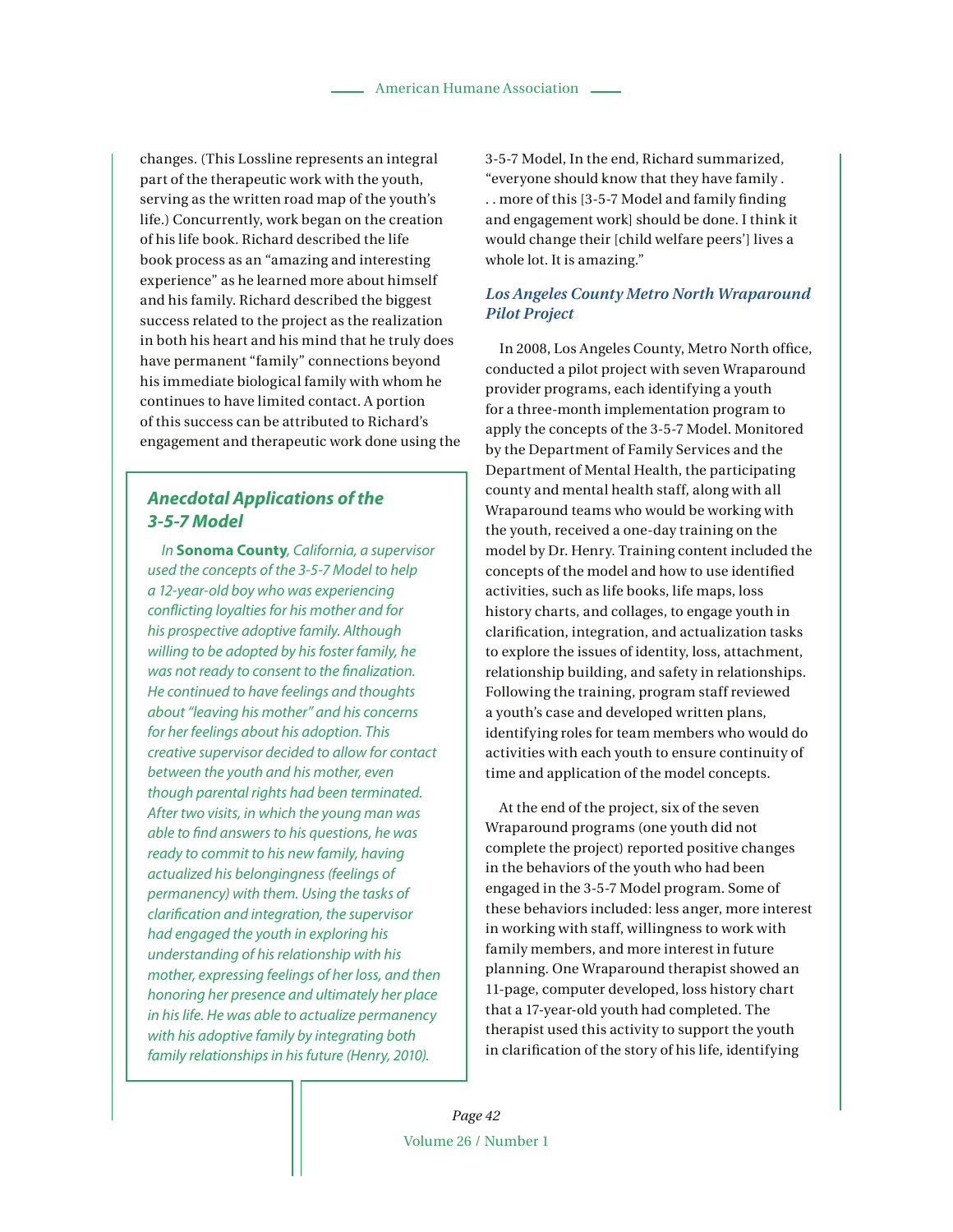changes. (This Lossline represents an integral part of the therapeutic work with the youth, serving as the written road map of the youth's life.) Concurrently, work began on the creation of his life book. Richard described the life book process as an "amazing and interesting experience" as he learned more about himself and his family. Richard described the biggest success related to the project as the realization in both his heart and his mind that he truly does have permanent "family" connections beyond his immediate biological family with whom he continues to have limited contact. A portion of this success can be attributed to Richard's engagement and therapeutic work done using the

# **Anecdotal Applications of the 3-5-7 Model**

In **Sonoma County**, California, a supervisor used the concepts of the 3-5-7 Model to help a 12-year-old boy who was experiencing conflicting loyalties for his mother and for his prospective adoptive family. Although willing to be adopted by his foster family, he was not ready to consent to the finalization. He continued to have feelings and thoughts about "leaving his mother" and his concerns for her feelings about his adoption. This creative supervisor decided to allow for contact between the youth and his mother, even though parental rights had been terminated. After two visits, in which the young man was able to find answers to his questions, he was ready to commit to his new family, having actualized his belongingness (feelings of permanency) with them. Using the tasks of clarification and integration, the supervisor had engaged the youth in exploring his understanding of his relationship with his mother, expressing feelings of her loss, and then honoring her presence and ultimately her place in his life. He was able to actualize permanency with his adoptive family by integrating both family relationships in his future (Henry, 2010).

3-5-7 Model, In the end, Richard summarized, "everyone should know that they have family . . . more of this [3-5-7 Model and family finding and engagement work] should be done. I think it would change their [child welfare peers'] lives a whole lot. It is amazing."

# *Los Angeles County Metro North Wraparound Pilot Project*

In 2008, Los Angeles County, Metro North office, conducted a pilot project with seven Wraparound provider programs, each identifying a youth for a three-month implementation program to apply the concepts of the 3-5-7 Model. Monitored by the Department of Family Services and the Department of Mental Health, the participating county and mental health staff, along with all Wraparound teams who would be working with the youth, received a one-day training on the model by Dr. Henry. Training content included the concepts of the model and how to use identified activities, such as life books, life maps, loss history charts, and collages, to engage youth in clarification, integration, and actualization tasks to explore the issues of identity, loss, attachment, relationship building, and safety in relationships. Following the training, program staff reviewed a youth's case and developed written plans, identifying roles for team members who would do activities with each youth to ensure continuity of time and application of the model concepts.

At the end of the project, six of the seven Wraparound programs (one youth did not complete the project) reported positive changes in the behaviors of the youth who had been engaged in the 3-5-7 Model program. Some of these behaviors included: less anger, more interest in working with staff, willingness to work with family members, and more interest in future planning. One Wraparound therapist showed an 11-page, computer developed, loss history chart that a 17-year-old youth had completed. The therapist used this activity to support the youth in clarification of the story of his life, identifying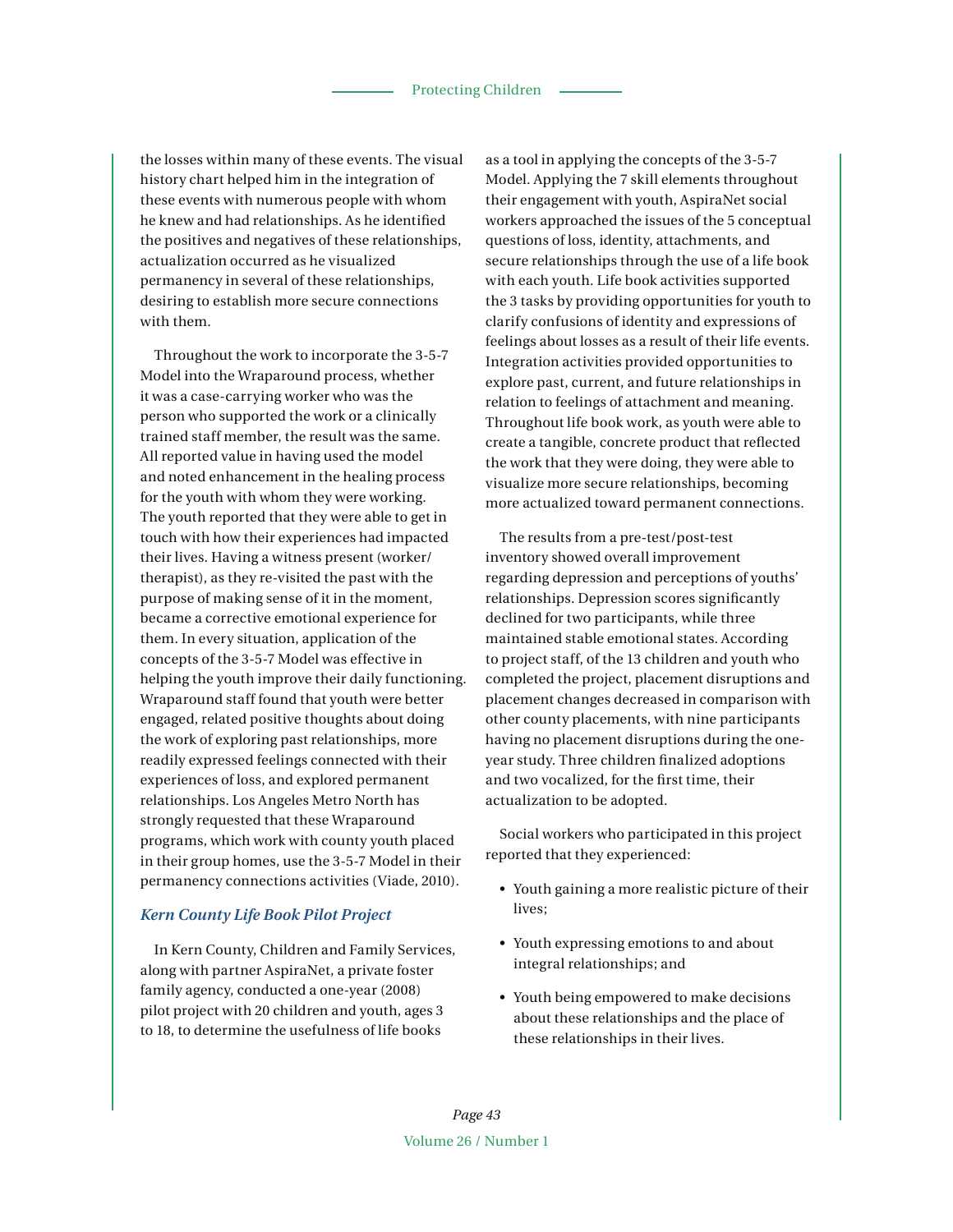the losses within many of these events. The visual history chart helped him in the integration of these events with numerous people with whom he knew and had relationships. As he identified the positives and negatives of these relationships, actualization occurred as he visualized permanency in several of these relationships, desiring to establish more secure connections with them.

Throughout the work to incorporate the 3-5-7 Model into the Wraparound process, whether it was a case-carrying worker who was the person who supported the work or a clinically trained staff member, the result was the same. All reported value in having used the model and noted enhancement in the healing process for the youth with whom they were working. The youth reported that they were able to get in touch with how their experiences had impacted their lives. Having a witness present (worker/ therapist), as they re-visited the past with the purpose of making sense of it in the moment, became a corrective emotional experience for them. In every situation, application of the concepts of the 3-5-7 Model was effective in helping the youth improve their daily functioning. Wraparound staff found that youth were better engaged, related positive thoughts about doing the work of exploring past relationships, more readily expressed feelings connected with their experiences of loss, and explored permanent relationships. Los Angeles Metro North has strongly requested that these Wraparound programs, which work with county youth placed in their group homes, use the 3-5-7 Model in their permanency connections activities (Viade, 2010).

#### *Kern County Life Book Pilot Project*

In Kern County, Children and Family Services, along with partner AspiraNet, a private foster family agency, conducted a one-year (2008) pilot project with 20 children and youth, ages 3 to 18, to determine the usefulness of life books

as a tool in applying the concepts of the 3-5-7 Model. Applying the 7 skill elements throughout their engagement with youth, AspiraNet social workers approached the issues of the 5 conceptual questions of loss, identity, attachments, and secure relationships through the use of a life book with each youth. Life book activities supported the 3 tasks by providing opportunities for youth to clarify confusions of identity and expressions of feelings about losses as a result of their life events. Integration activities provided opportunities to explore past, current, and future relationships in relation to feelings of attachment and meaning. Throughout life book work, as youth were able to create a tangible, concrete product that reflected the work that they were doing, they were able to visualize more secure relationships, becoming more actualized toward permanent connections.

The results from a pre-test/post-test inventory showed overall improvement regarding depression and perceptions of youths' relationships. Depression scores significantly declined for two participants, while three maintained stable emotional states. According to project staff, of the 13 children and youth who completed the project, placement disruptions and placement changes decreased in comparison with other county placements, with nine participants having no placement disruptions during the oneyear study. Three children finalized adoptions and two vocalized, for the first time, their actualization to be adopted.

Social workers who participated in this project reported that they experienced:

- Youth gaining a more realistic picture of their lives:
- Youth expressing emotions to and about integral relationships; and
- Youth being empowered to make decisions about these relationships and the place of these relationships in their lives.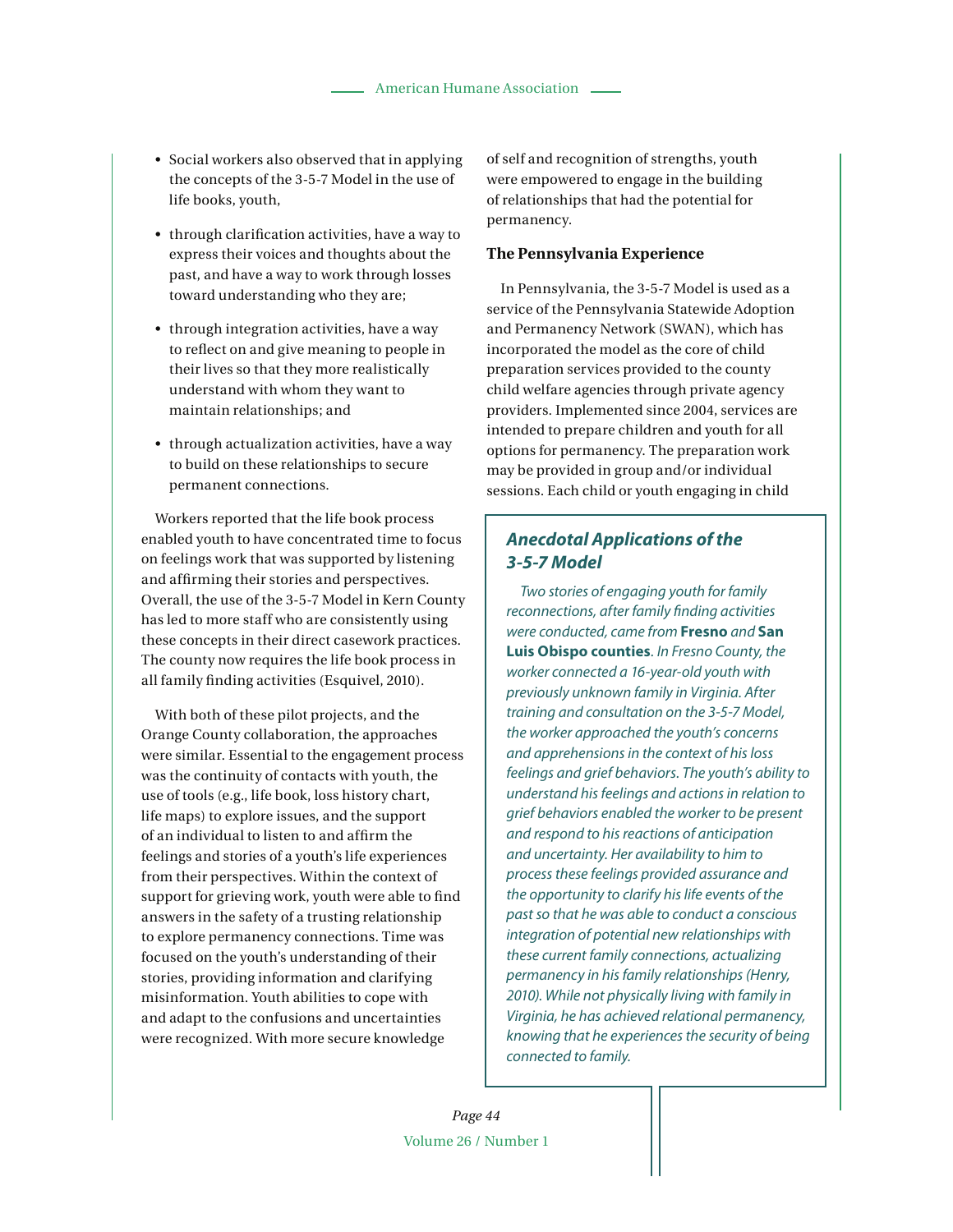- Social workers also observed that in applying the concepts of the 3-5-7 Model in the use of life books, youth,
- through clarification activities, have a way to express their voices and thoughts about the past, and have a way to work through losses toward understanding who they are;
- $\bullet$  through integration activities, have a way to reflect on and give meaning to people in their lives so that they more realistically understand with whom they want to maintain relationships; and
- through actualization activities, have a way to build on these relationships to secure permanent connections.

Workers reported that the life book process enabled youth to have concentrated time to focus on feelings work that was supported by listening and affirming their stories and perspectives. Overall, the use of the 3-5-7 Model in Kern County has led to more staff who are consistently using these concepts in their direct casework practices. The county now requires the life book process in all family finding activities (Esquivel, 2010).

With both of these pilot projects, and the Orange County collaboration, the approaches were similar. Essential to the engagement process was the continuity of contacts with youth, the use of tools (e.g., life book, loss history chart, life maps) to explore issues, and the support of an individual to listen to and affirm the feelings and stories of a youth's life experiences from their perspectives. Within the context of support for grieving work, youth were able to find answers in the safety of a trusting relationship to explore permanency connections. Time was focused on the youth's understanding of their stories, providing information and clarifying misinformation. Youth abilities to cope with and adapt to the confusions and uncertainties were recognized. With more secure knowledge

of self and recognition of strengths, youth were empowered to engage in the building of relationships that had the potential for permanency.

#### **The Pennsylvania Experience**

In Pennsylvania, the 3-5-7 Model is used as a service of the Pennsylvania Statewide Adoption and Permanency Network (SWAN), which has incorporated the model as the core of child preparation services provided to the county child welfare agencies through private agency providers. Implemented since 2004, services are intended to prepare children and youth for all options for permanency. The preparation work may be provided in group and/or individual sessions. Each child or youth engaging in child

# **Anecdotal Applications of the 3-5-7 Model**

Two stories of engaging youth for family reconnections, after family finding activities were conducted, came from **Fresno** and **San Luis Obispo counties**. In Fresno County, the worker connected a 16-year-old youth with previously unknown family in Virginia. After training and consultation on the 3-5-7 Model, the worker approached the youth's concerns and apprehensions in the context of his loss feelings and grief behaviors. The youth's ability to understand his feelings and actions in relation to grief behaviors enabled the worker to be present and respond to his reactions of anticipation and uncertainty. Her availability to him to process these feelings provided assurance and the opportunity to clarify his life events of the past so that he was able to conduct a conscious integration of potential new relationships with these current family connections, actualizing permanency in his family relationships (Henry, 2010). While not physically living with family in Virginia, he has achieved relational permanency, knowing that he experiences the security of being connected to family.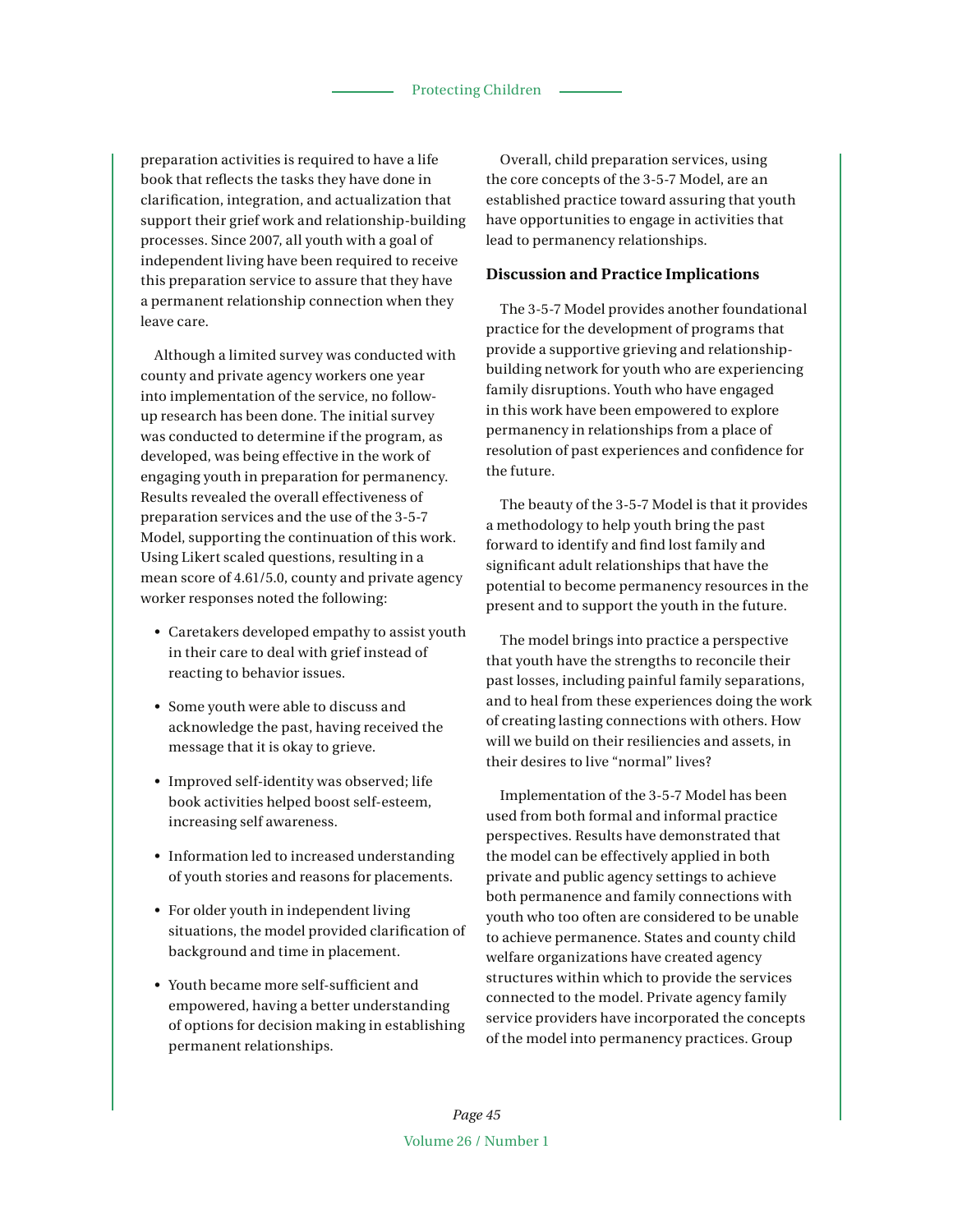preparation activities is required to have a life book that reflects the tasks they have done in clarification, integration, and actualization that support their grief work and relationship-building processes. Since 2007, all youth with a goal of independent living have been required to receive this preparation service to assure that they have a permanent relationship connection when they leave care.

Although a limited survey was conducted with county and private agency workers one year into implementation of the service, no followup research has been done. The initial survey was conducted to determine if the program, as developed, was being effective in the work of engaging youth in preparation for permanency. Results revealed the overall effectiveness of preparation services and the use of the 3-5-7 Model, supporting the continuation of this work. Using Likert scaled questions, resulting in a mean score of 4.61/5.0, county and private agency worker responses noted the following:

- Caretakers developed empathy to assist youth in their care to deal with grief instead of reacting to behavior issues.
- Some youth were able to discuss and acknowledge the past, having received the message that it is okay to grieve.
- Improved self-identity was observed; life book activities helped boost self-esteem, increasing self awareness.
- Information led to increased understanding of youth stories and reasons for placements.
- For older youth in independent living situations, the model provided clarification of background and time in placement.
- Youth became more self-sufficient and empowered, having a better understanding of options for decision making in establishing permanent relationships.

Overall, child preparation services, using the core concepts of the 3-5-7 Model, are an established practice toward assuring that youth have opportunities to engage in activities that lead to permanency relationships.

#### **Discussion and Practice Implications**

The 3-5-7 Model provides another foundational practice for the development of programs that provide a supportive grieving and relationshipbuilding network for youth who are experiencing family disruptions. Youth who have engaged in this work have been empowered to explore permanency in relationships from a place of resolution of past experiences and confidence for the future.

The beauty of the 3-5-7 Model is that it provides a methodology to help youth bring the past forward to identify and find lost family and significant adult relationships that have the potential to become permanency resources in the present and to support the youth in the future.

The model brings into practice a perspective that youth have the strengths to reconcile their past losses, including painful family separations, and to heal from these experiences doing the work of creating lasting connections with others. How will we build on their resiliencies and assets, in their desires to live "normal" lives?

Implementation of the 3-5-7 Model has been used from both formal and informal practice perspectives. Results have demonstrated that the model can be effectively applied in both private and public agency settings to achieve both permanence and family connections with youth who too often are considered to be unable to achieve permanence. States and county child welfare organizations have created agency structures within which to provide the services connected to the model. Private agency family service providers have incorporated the concepts of the model into permanency practices. Group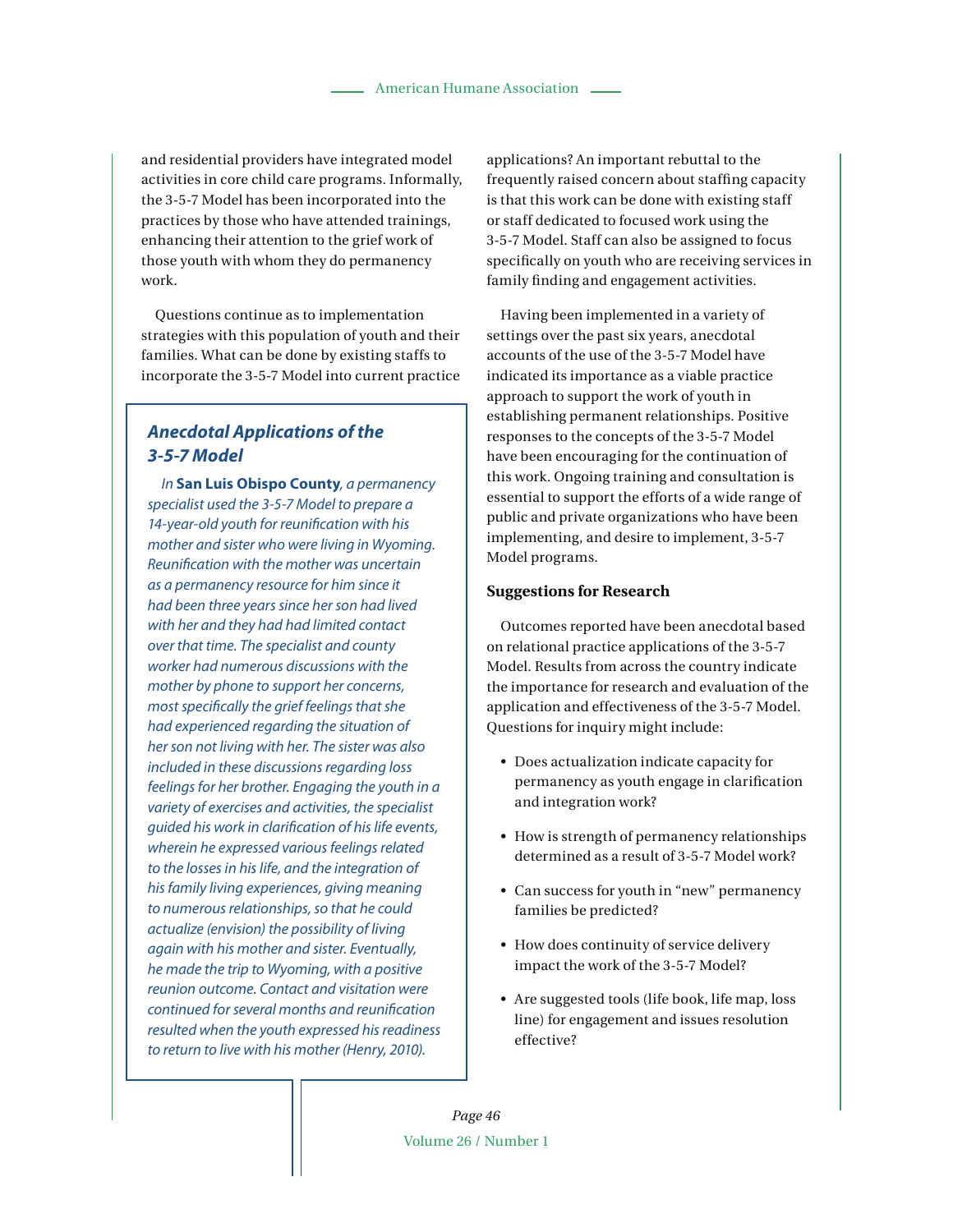and residential providers have integrated model activities in core child care programs. Informally, the 3-5-7 Model has been incorporated into the practices by those who have attended trainings, enhancing their attention to the grief work of those youth with whom they do permanency work.

Questions continue as to implementation strategies with this population of youth and their families. What can be done by existing staffs to incorporate the 3-5-7 Model into current practice

# **Anecdotal Applications of the 3-5-7 Model**

In **San Luis Obispo County**, a permanency specialist used the 3-5-7 Model to prepare a 14-year-old youth for reunification with his mother and sister who were living in Wyoming. Reunification with the mother was uncertain as a permanency resource for him since it had been three years since her son had lived with her and they had had limited contact over that time. The specialist and county worker had numerous discussions with the mother by phone to support her concerns, most specifically the grief feelings that she had experienced regarding the situation of her son not living with her. The sister was also included in these discussions regarding loss feelings for her brother. Engaging the youth in a variety of exercises and activities, the specialist guided his work in clarification of his life events, wherein he expressed various feelings related to the losses in his life, and the integration of his family living experiences, giving meaning to numerous relationships, so that he could actualize (envision) the possibility of living again with his mother and sister. Eventually, he made the trip to Wyoming, with a positive reunion outcome. Contact and visitation were continued for several months and reunification resulted when the youth expressed his readiness to return to live with his mother (Henry, 2010).

applications? An important rebuttal to the frequently raised concern about staffing capacity is that this work can be done with existing staff or staff dedicated to focused work using the 3-5-7 Model. Staff can also be assigned to focus specifically on youth who are receiving services in family finding and engagement activities.

Having been implemented in a variety of settings over the past six years, anecdotal accounts of the use of the 3-5-7 Model have indicated its importance as a viable practice approach to support the work of youth in establishing permanent relationships. Positive responses to the concepts of the 3-5-7 Model have been encouraging for the continuation of this work. Ongoing training and consultation is essential to support the efforts of a wide range of public and private organizations who have been implementing, and desire to implement, 3-5-7 Model programs.

#### **Suggestions for Research**

Outcomes reported have been anecdotal based on relational practice applications of the 3-5-7 Model. Results from across the country indicate the importance for research and evaluation of the application and effectiveness of the 3-5-7 Model. Questions for inquiry might include:

- Does actualization indicate capacity for permanency as youth engage in clarification and integration work?
- How is strength of permanency relationships determined as a result of 3-5-7 Model work?
- Can success for youth in "new" permanency families be predicted?
- How does continuity of service delivery impact the work of the 3-5-7 Model?
- Are suggested tools (life book, life map, loss line) for engagement and issues resolution effective?

*Page 46* Volume 26 / Number 1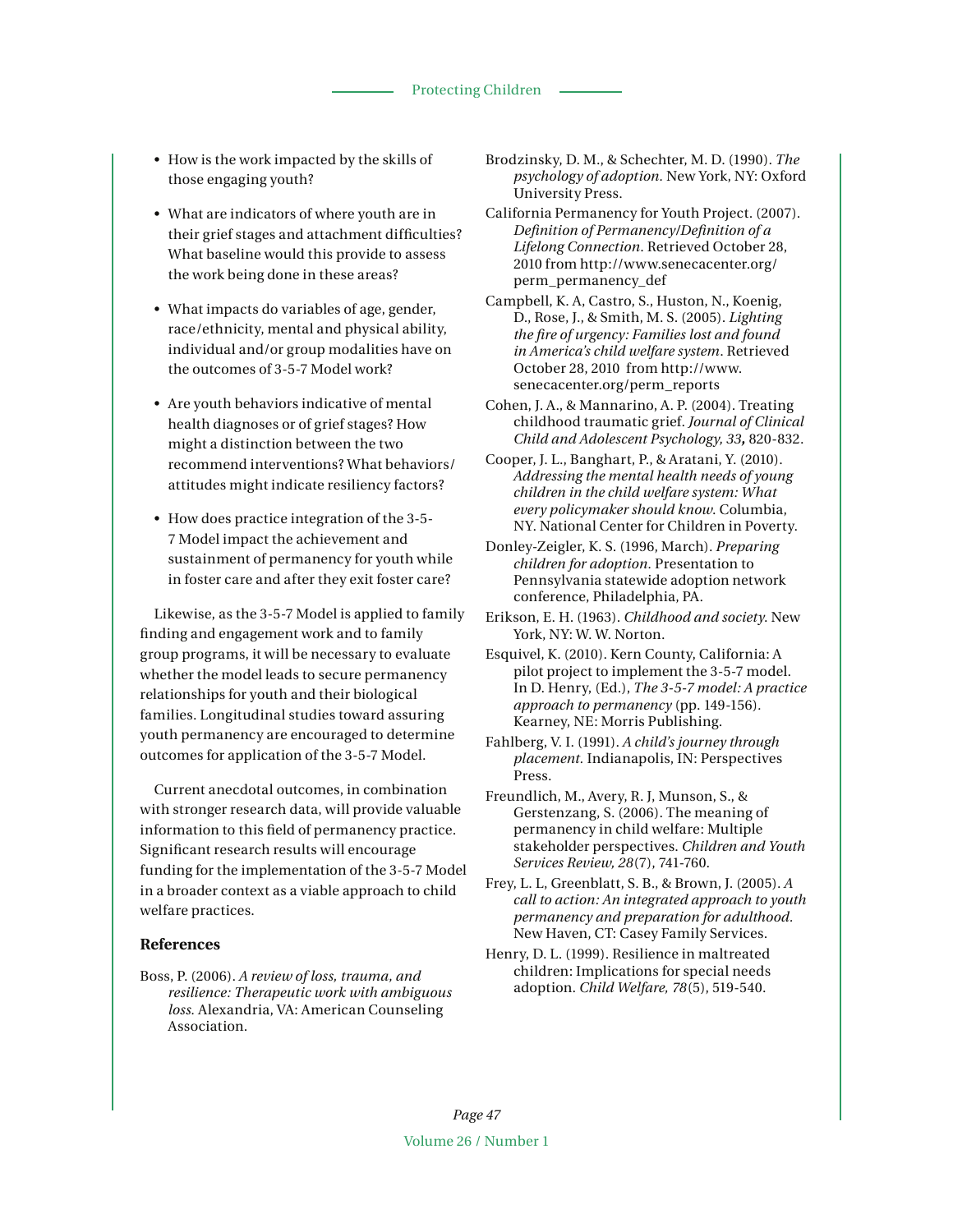• How is the work impacted by the skills of those engaging youth?

• What are indicators of where youth are in their grief stages and attachment difficulties? What baseline would this provide to assess the work being done in these areas?

- What impacts do variables of age, gender, race/ethnicity, mental and physical ability, individual and/or group modalities have on the outcomes of 3-5-7 Model work?
- Are youth behaviors indicative of mental health diagnoses or of grief stages? How might a distinction between the two recommend interventions? What behaviors/ attitudes might indicate resiliency factors?
- How does practice integration of the 3-5-7 Model impact the achievement and sustainment of permanency for youth while in foster care and after they exit foster care?

Likewise, as the 3-5-7 Model is applied to family finding and engagement work and to family group programs, it will be necessary to evaluate whether the model leads to secure permanency relationships for youth and their biological families. Longitudinal studies toward assuring youth permanency are encouraged to determine outcomes for application of the 3-5-7 Model.

Current anecdotal outcomes, in combination with stronger research data, will provide valuable information to this field of permanency practice. Significant research results will encourage funding for the implementation of the 3-5-7 Model in a broader context as a viable approach to child welfare practices.

#### **References**

Boss, P. (2006). *A review of loss, trauma, and resilience: Therapeutic work with ambiguous loss.* Alexandria, VA: American Counseling Association.

- Brodzinsky, D. M., & Schechter, M. D. (1990). *The psychology of adoption.* New York, NY: Oxford University Press.
- California Permanency for Youth Project. (2007). *Definition of Permanency/Definition of a Lifelong Connection*. Retrieved October 28, 2010 from http://www.senecacenter.org/ perm\_permanency\_def
- Campbell, K. A, Castro, S., Huston, N., Koenig, D., Rose, J., & Smith, M. S. (2005). *Lighting the fire of urgency: Families lost and found in America's child welfare system*. Retrieved October 28, 2010 from http://www. senecacenter.org/perm\_reports
- Cohen, J. A., & Mannarino, A. P. (2004). Treating childhood traumatic grief. *Journal of Clinical Child and Adolescent Psychology, 33,* 820-832.
- Cooper, J. L., Banghart, P., & Aratani, Y. (2010). *Addressing the mental health needs of young children in the child welfare system: What every policymaker should know*. Columbia, NY. National Center for Children in Poverty.
- Donley-Zeigler, K. S. (1996, March). *Preparing children for adoption.* Presentation to Pennsylvania statewide adoption network conference, Philadelphia, PA.
- Erikson, E. H. (1963). *Childhood and society*. New York, NY: W. W. Norton.
- Esquivel, K. (2010). Kern County, California: A pilot project to implement the 3-5-7 model. In D. Henry, (Ed.), *The 3-5-7 model: A practice approach to permanency* (pp. 149-156)*.* Kearney, NE: Morris Publishing.
- Fahlberg, V*.* I. (1991). *A child's journey through placement.* Indianapolis, IN: Perspectives Press.
- Freundlich, M., Avery, R. J, Munson, S., & Gerstenzang, S. (2006). The meaning of permanency in child welfare: Multiple stakeholder perspectives. *Children and Youth Services Review, 28*(7), 741-760.
- Frey, L. L, Greenblatt, S. B., & Brown, J. (2005). *A call to action: An integrated approach to youth permanency and preparation for adulthood.* New Haven, CT: Casey Family Services.
- Henry, D. L. (1999). Resilience in maltreated children: Implications for special needs adoption. *Child Welfare, 78*(5), 519-540.